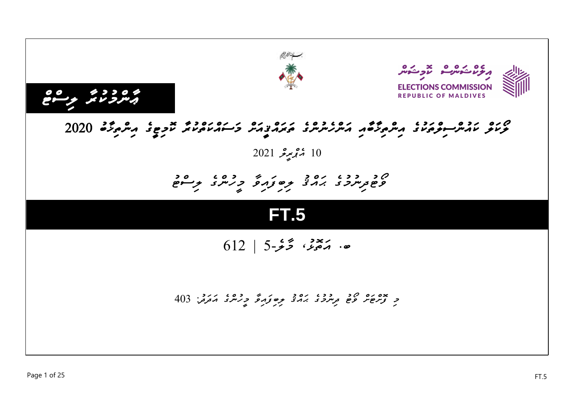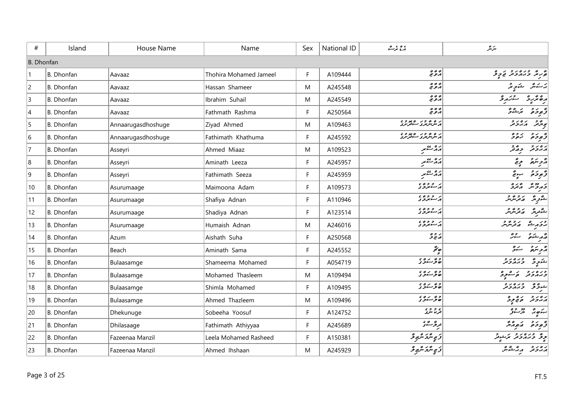| #              | Island     | House Name         | Name                   | Sex         | National ID | ، ه ، بر <u>م</u>                         | يترمثر                               |
|----------------|------------|--------------------|------------------------|-------------|-------------|-------------------------------------------|--------------------------------------|
| B. Dhonfan     |            |                    |                        |             |             |                                           |                                      |
| 1              | B. Dhonfan | Aavaaz             | Thohira Mohamed Jameel | $\mathsf F$ | A109444     | پر ده<br>در ه                             | وريز وبرورو كالحي                    |
| $\overline{2}$ | B. Dhonfan | Aavaaz             | Hassan Shameer         | M           | A245548     | پر چه ه<br>  هر چ                         | بر کے معرض کے مقرر میں ا             |
| 3              | B. Dhonfan | Aavaaz             | Ibrahim Suhail         | M           | A245549     | ر وه م<br>د و م                           | ە ھەترىرى<br>رەھىرىرى<br>سترتر بحر   |
| 4              | B. Dhonfan | Aavaaz             | Fathmath Rashma        | F           | A250564     | پر ده<br>پرونځ                            | ۇپ <sub>و</sub> دۇ برىشۇ             |
| 5              | B. Dhonfan | Annaarugasdhoshuge | Ziyad Ahmed            | M           | A109463     | ر ۵ پر ۶ ر ۵ پر ۶ په<br>۸ سرسربري سوترمري | بر پر در در در در<br>برگرفتر میکردگر |
| 6              | B. Dhonfan | Annaarugasdhoshuge | Fathimath Khathuma     | $\mathsf F$ | A245592     | ر ۵ ۶ و ر ۵ پر و ٤<br>د سرسرپري سوترس     | و مر د<br>تر مور م<br>ز ه د پ        |
| $\vert$ 7      | B. Dhonfan | Asseyri            | Ahmed Miaaz            | M           | A109523     | أمهر يهمر                                 | برەر ئەرەپر                          |
| $\overline{8}$ | B. Dhonfan | Asseyri            | Aminath Leeza          | $\mathsf F$ | A245957     | بره مئي <sub>م</sub>                      | أرمز<br>حريج                         |
| $ 9\rangle$    | B. Dhonfan | Asseyri            | Fathimath Seeza        | F           | A245959     | ر ە يىمىر<br>مەمرىسىسىر                   | ۇ بوزى<br>سبونج                      |
| $ 10\rangle$   | B. Dhonfan | Asurumaage         | Maimoona Adam          | F           | A109573     | ر و و د »<br>پرستوری                      | ى مەرىپىگە<br>ەترو                   |
| 11             | B. Dhonfan | Asurumaage         | Shafiya Adnan          | F           | A110946     | ىر 2 جەم ي                                | شگر مگر مگر مگر مگر مگر              |
| 12             | B. Dhonfan | Asurumaage         | Shadiya Adnan          | F           | A123514     | بر 1997ء<br>مرڪبوبوبي                     | ے مرکز کے مرکز کر                    |
| $ 13\rangle$   | B. Dhonfan | Asurumaage         | Humaish Adnan          | M           | A246016     | ر د د وه و<br>د سه مرد د                  | بركرمرىش كالمرتكزيلر                 |
| 14             | B. Dhonfan | Azum               | Aishath Suha           | F           | A250568     | ر وه<br>در                                | ە ئەرىشىتى ئىسىر                     |
| 15             | B. Dhonfan | Beach              | Aminath Sama           | F.          | A245552     | صگح                                       | ړې سره د ک                           |
| 16             | B. Dhonfan | Bulaasamge         | Shameema Mohamed       | F           | A054719     | د د بره ،<br>حوکرد د                      | لشوود<br>و ره ر د<br>تر پر ژمر       |
| 17             | B. Dhonfan | Bulaasamge         | Mohamed Thasleem       | M           | A109494     | ە ئۆسەدى                                  | ورەر د رەرو                          |
| 18             | B. Dhonfan | Bulaasamge         | Shimla Mohamed         | F           | A109495     | ە ئۇسىۋە ي                                | شوونخ ورەرد                          |
| 19             | B. Dhonfan | Bulaasamge         | Ahmed Thazleem         | M           | A109496     | ە ئۆسەدى                                  | גפיק גם קב                           |
| 20             | B. Dhonfan | Dhekunuge          | Sobeeha Yoosuf         | F           | A124752     | ړ د د ›<br>تر د سربۍ                      | بذھ پر مزروم                         |
| 21             | B. Dhonfan | Dhilasaage         | Fathimath Athiyyaa     | F           | A245689     | ەرگۇرىچى                                  | توجوحو مجمد                          |
| 22             | B. Dhonfan | Fazeenaa Manzil    | Leela Mohamed Rasheed  | F           | A150381     | ۇ <sub>ئ</sub> ېرىڭرىشبى ب <sup>و</sup>   | و درور در در                         |
| 23             | B. Dhonfan | Fazeenaa Manzil    | Ahmed Ihshaan          | M           | A245929     | ۇ پە ئەڭ ئىرى بى                          | رەرو مەشقىر                          |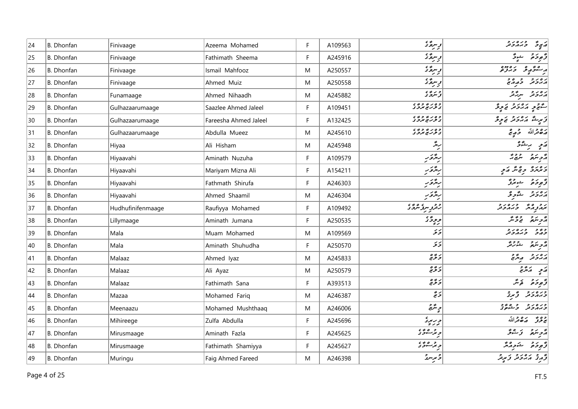| 24 | B. Dhonfan        | Finivaage         | Azeema Mohamed        | F  | A109563 | و سرچ <sup>ء</sup> ِ                                     | و ر ه ر و<br>تر پر ژ تر<br>  پر سچ پڅ          |
|----|-------------------|-------------------|-----------------------|----|---------|----------------------------------------------------------|------------------------------------------------|
| 25 | B. Dhonfan        | Finivaage         | Fathimath Sheema      | F. | A245916 | وبيرة كا                                                 | و بر د<br>ارگېږ ده<br>حسور                     |
| 26 | B. Dhonfan        | Finivaage         | Ismail Mahfooz        | M  | A250557 | و سرچ <sup>ي</sup>                                       | د قرم و د ودوه<br>د سرگړمو کوبرنونو            |
| 27 | B. Dhonfan        | Finivaage         | Ahmed Muiz            | M  | A250558 | و سرچ <sup>ء</sup>                                       | גפנק כנפי                                      |
| 28 | B. Dhonfan        | Funamaage         | Ahmed Nihaadh         | M  | A245882 | و ر د د<br>توسرچ د                                       | رەرو سرگەر                                     |
| 29 | B. Dhonfan        | Gulhazaarumaage   | Saazlee Ahmed Jaleel  | F  | A109451 | و ہ در پر ویو تا<br>تح <b>رض مر</b> و ت                  | أنشيج ورود و برو                               |
| 30 | B. Dhonfan        | Gulhazaarumaage   | Fareesha Ahmed Jaleel | F  | A132425 | و ه ر په و په و<br>د <del>ن</del> رمر <del>ي</del> برو د | وَ يَمِيثُ 1957 فَيَجِرْدُ                     |
| 31 | B. Dhonfan        | Gulhazaarumaage   | Abdulla Mueez         | M  | A245610 | و ه ر ږ و ږ ،<br>د نورنځ تنرنز د                         | أشق محرالله وحرمي                              |
| 32 | B. Dhonfan        | Hiyaa             | Ali Hisham            | M  | A245948 | رېژ                                                      | أركمج الرحقوق                                  |
| 33 | B. Dhonfan        | Hiyaavahi         | Aminath Nuzuha        | F  | A109579 | رېژو ٔر                                                  | ړ ځې سرچ<br>و و پر<br>سرچ بر                   |
| 34 | B. Dhonfan        | Hiyaavahi         | Mariyam Mizna Ali     | F. | A154211 | رېژوَر                                                   | دوره وچه کړې                                   |
| 35 | <b>B.</b> Dhonfan | Hiyaavahi         | Fathmath Shirufa      | F  | A246303 | رېژو <i>ر</i>                                            | ۇي <sub>م</sub> وڭ <sub>ۇ</sub> سېرۇ           |
| 36 | B. Dhonfan        | Hiyaavahi         | Ahmed Shaamil         | M  | A246304 | ىرە ئەكەر                                                | رەرو شەرى                                      |
| 37 | B. Dhonfan        | Hudhufinifenmaage | Raufiyya Mohamed      | F  | A109492 | د و <sub>و سر</sub> ه ه و د و                            | גב כב בגבג <del>ב</del><br><i>הגצ</i> הת בגהכת |
| 38 | B. Dhonfan        | Lillymaage        | Aminath Jumana        | F  | A250535 | ووژه<br>روژ                                              | أأترجم في تحم                                  |
| 39 | B. Dhonfan        | Mala              | Muam Mohamed          | M  | A109569 | ۇتى                                                      | 2,0,0 0,00                                     |
| 40 | B. Dhonfan        | Mala              | Aminath Shuhudha      | F  | A250570 | ىزى                                                      | أثرج مترة فسيفترض                              |
| 41 | B. Dhonfan        | Malaaz            | Ahmed Iyaz            | M  | A245833 | ر ژه<br>د ژه                                             | גפגב גודה                                      |
| 42 | B. Dhonfan        | Malaaz            | Ali Ayaz              | M  | A250579 | ترڅې                                                     |                                                |
| 43 | B. Dhonfan        | Malaaz            | Fathimath Sana        | F  | A393513 | ر پوه                                                    | وَجوحر وَ يَد                                  |
| 44 | B. Dhonfan        | Mazaa             | Mohamed Fariq         | M  | A246387 | ترمج                                                     | ورەرو ۇىر                                      |
| 45 | B. Dhonfan        | Meenaazu          | Mohamed Mushthaaq     | M  | A246006 | جريثر                                                    | ورەر د دەپرە<br><i>دى</i> ركىز كەشمۇ           |
| 46 | B. Dhonfan        | Mihireege         | Zulfa Abdulla         | F  | A245696 | و ر برگ <sup>ی</sup><br>تر ر بر                          | يحوقر الكاهرالله                               |
| 47 | B. Dhonfan        | Mirusmaage        | Aminath Fazla         | F. | A245625 | د برگوري<br>د برگوري                                     | ترويتم ترجو                                    |
| 48 | B. Dhonfan        | Mirusmaage        | Fathimath Shamiyya    | F  | A245627 | ل حرم د د د و                                            | أزجوختم خرجه يم                                |
| 49 | B. Dhonfan        | Muringu           | Faig Ahmed Fareed     | M  | A246398 | وتمرسو                                                   | وٌ د م د د د د د د                             |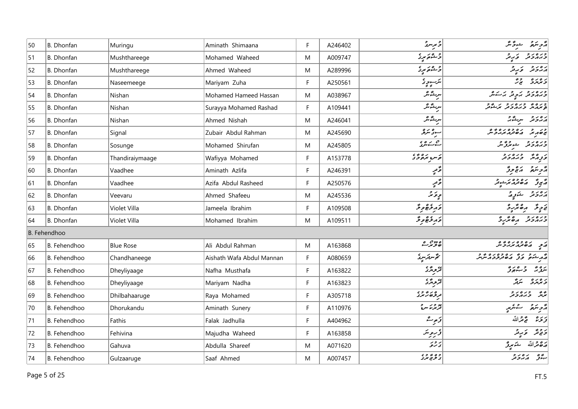| 50 | B. Dhonfan   | Muringu          | Aminath Shimaana          | F         | A246402 | ومرسر                              | أأدوسكم شوقاتكر                                               |
|----|--------------|------------------|---------------------------|-----------|---------|------------------------------------|---------------------------------------------------------------|
| 51 | B. Dhonfan   | Mushthareege     | Mohamed Waheed            | M         | A009747 | <br> ترشونو مړی                    | ورەرو كەيد                                                    |
| 52 | B. Dhonfan   | Mushthareege     | Ahmed Waheed              | M         | A289996 | د شو <sub>م</sub> <sub>مر</sub> ءِ | دەر جەر تەر                                                   |
| 53 | B. Dhonfan   | Naseemeege       | Mariyam Zuha              | F         | A250561 | ىئەسىيە ئ<br>ئەس                   | ترەپرە دې                                                     |
| 54 | B. Dhonfan   | Nishan           | Mohamed Hameed Hassan     | ${\sf M}$ | A038967 | سرىشەشر                            | ورەرو روپر رکھ                                                |
| 55 | B. Dhonfan   | Nishan           | Surayya Mohamed Rashad    | F         | A109441 | سرىشەشر                            | و ره په دره رو د په د<br>څو پرمانل و برمانو پر شوتر           |
| 56 | B. Dhonfan   | Nishan           | Ahmed Nishah              | ${\sf M}$ | A246041 | سرىشەشر                            | رەرو سرشەر                                                    |
| 57 | B. Dhonfan   | Signal           | Zubair Abdul Rahman       | ${\sf M}$ | A245690 | سەر ئىربۇ                          | crosos coros                                                  |
| 58 | B. Dhonfan   | Sosunge          | Mohamed Shirufan          | ${\sf M}$ | A245805 | تنجيسه عديمة                       | ورەرو ھەرىپى<br><mark>ۋىرەر</mark> وتى ھەممەرىكى              |
| 59 | B. Dhonfan   | Thandiraiymaage  | Wafiyya Mohamed           | F         | A153778 | ائرسو ئىۋودى<br>—                  | פְצְמִת כְנְסֵנְ                                              |
| 60 | B. Dhonfan   | Vaadhee          | Aminath Azlifa            | F         | A246391 | حٌسٍ                               | أأوسكم الكافراد                                               |
| 61 | B. Dhonfan   | Vaadhee          | Azifa Abdul Rasheed       | F         | A250576 | ر<br>حگار                          | ر ده ده ده د کرد.<br>د کار د کامل کار کار د کار د کار د کار د |
| 62 | B. Dhonfan   | Veevaru          | Ahmed Shafeeu             | ${\sf M}$ | A245536 | اءٍ وَتَمَ                         | رەر ئىر                                                       |
| 63 | B. Dhonfan   | Violet Villa     | Jameela Ibrahim           | F         | A109508 | أقار دعقوقه                        | فأوقى مامارو                                                  |
| 64 | B. Dhonfan   | Violet Villa     | Mohamed Ibrahim           | ${\sf M}$ | A109511 | ءَ ٻر ڏھ عر ٿُ                     | כנהגב הפיציב                                                  |
|    | B. Fehendhoo |                  |                           |           |         |                                    |                                                               |
| 65 | B. Fehendhoo | <b>Blue Rose</b> | Ali Abdul Rahman          | ${\sf M}$ | A163868 | ە دەم ھ                            | مر ده ده ده ده و                                              |
| 66 | B. Fehendhoo | Chandhaneege     | Aishath Wafa Abdul Mannan | F         | A080659 | كۇسرىرَ سرىر                       | ه در د د د ده ده ده د د<br>په شوی وز په مورود س               |
| 67 | B. Fehendhoo | Dheyliyaage      | Nafha Musthafa            | F         | A163822 | شرم میده<br>  قرمورد د             | يروم وروم                                                     |
| 68 | B. Fehendhoo | Dheyliyaage      | Mariyam Nadha             | F         | A163823 | پر په پر<br>  تر پر بر پر          | ر ه ر ه<br>د بربر د<br>سترتثر                                 |
| 69 | B. Fehendhoo | Dhilbahaaruge    | Raya Mohamed              | F         | A305718 | و د ه د و ،<br>درمر <i>ه ر</i> برد | ور در در د                                                    |
| 70 | B. Fehendhoo | Dhorukandu       | Aminath Sunery            | F         | A110976 | پر در ر<br>تر بر با س              | وحريبكم التفكيمي                                              |
| 71 | B. Fehendhoo | Fathis           | Falak Jadhulla            | F         | A404962 | ئەموت                              | ترتره تج قرالله                                               |
| 72 | B. Fehendhoo | Fehivina         | Majudha Waheed            | F         | A163858 | ۇر <sub>ە</sub> بىر                | كرويمر كالمريمر                                               |
| 73 | B. Fehendhoo | Gahuva           | Abdulla Shareef           | M         | A071620 | ر و ر<br>ئ ره                      | برە دالله شەيرو                                               |
| 74 | B. Fehendhoo | Gulzaaruge       | Saaf Ahmed                | M         | A007457 | و ه پر و ء<br>ۍ څريخ بوري          | پره پره رح                                                    |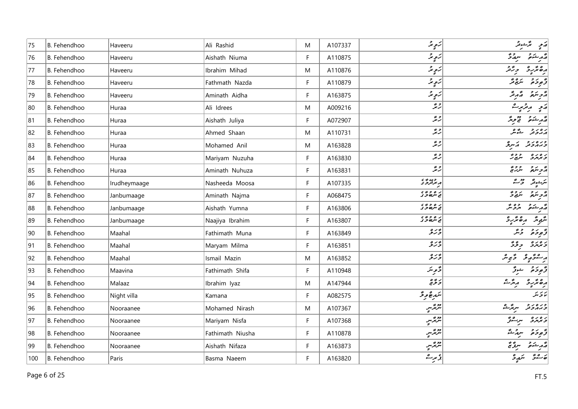| 75           | B. Fehendhoo | Haveeru      | Ali Rashid       | ${\sf M}$ | A107337 | - عريمه                      | ر<br>مرم المرشوش                                         |
|--------------|--------------|--------------|------------------|-----------|---------|------------------------------|----------------------------------------------------------|
| 76           | B. Fehendhoo | Haveeru      | Aishath Niuma    | F         | A110875 | ئەھەيتىر                     | و مر<br>مرگه مشوجو<br>سرچينې                             |
| 77           | B. Fehendhoo | Haveeru      | Ibrahim Mihad    | ${\sf M}$ | A110876 | تەھەپتىر                     | رە ئەر<br>حرشة                                           |
| 78           | B. Fehendhoo | Haveeru      | Fathmath Nazda   | F         | A110879 | ترءٍ پٽر                     | وٌجوحه<br>سرە ئۇ                                         |
| 79           | B. Fehendhoo | Haveeru      | Aminath Aidha    | F         | A163875 | - عريمه                      | أأترشي<br>ەزەرقىر                                        |
| 80           | B. Fehendhoo | Huraa        | Ali Idrees       | ${\sf M}$ | A009216 | رمجر                         | أوسمج ويرموث                                             |
| 81           | B. Fehendhoo | Huraa        | Aishath Juliya   | F         | A072907 | ريز                          | م المستوج المستحرمة                                      |
| 82           | B. Fehendhoo | Huraa        | Ahmed Shaan      | ${\sf M}$ | A110731 | ريز                          | رەر ئەھر                                                 |
| 83           | B. Fehendhoo | Huraa        | Mohamed Anil     | ${\sf M}$ | A163828 | رمجر                         | و ر ه ر د<br>د بر بر تر<br>ەر سرىۋ                       |
| 84           | B. Fehendhoo | Huraa        | Mariyam Nuzuha   | F         | A163830 | رمیٹر                        | سرچ پژ<br>ر ه بر ه<br><del>ر</del> بربر د                |
| 85           | B. Fehendhoo | Huraa        | Aminath Nuhuza   | F         | A163831 | رمجر                         | سرريح<br>أأرمر شرقه                                      |
| 86           | B. Fehendhoo | Irudheymaage | Nasheeda Moosa   | F         | A107335 | <br>  مرمرفری                | دريمه<br>ىكرىشوتگر<br>ئى                                 |
| 87           | B. Fehendhoo | Janbumaage   | Aminath Najma    | F         | A068475 | ر ه د و و<br>نح سرچ تر د     | أأترسم<br>سرو پر                                         |
| 88           | B. Fehendhoo | Janbumaage   | Aishath Yumna    | F         | A163806 | پر ۵ ۶ ۶ پ                   | پرویژ<br>ائی <sub>م</sub> رشتون <sub>د</sub><br>مرگ      |
| 89           | B. Fehendhoo | Janbumaage   | Naajiya Ibrahim  | F         | A163807 | ر ه د و و<br>نح سرچ تر د     | متنصر تر<br>ە ھەترىرى<br>برھ ترىرى                       |
| $ 90\rangle$ | B. Fehendhoo | Maahal       | Fathimath Muna   | F         | A163849 | ۇرۇ                          | و مرد<br>ترجو حرم<br>تر شر                               |
| 91           | B. Fehendhoo | Maahal       | Maryam Milma     | F         | A163851 | ۇرۇ                          | ر ه بر ه<br><del>د</del> بربر و<br>ج عر                  |
| 92           | B. Fehendhoo | Maahal       | Ismail Mazin     | M         | A163852 | ۇرۇ                          | ىر مەنتىمى تو<br>س<br>ۇ يې شر                            |
| 93           | B. Fehendhoo | Maavina      | Fathimath Shifa  | F         | A110948 | قحرمتنه                      | و مرد<br>ترجو حر<br>شەۋ                                  |
| 94           | B. Fehendhoo | Malaaz       | Ibrahim Iyaz     | M         | A147944 | ئەنۋى                        | ە ھەمرىر 2<br>برھىمرىر 3<br>ەرىژىشە                      |
| 95           | B. Fehendhoo | Night villa  | Kamana           | F         | A082575 | ىئىرغور ئۇ                   | ر ر<br>ما <del>ر</del> مئر                               |
| 96           | B. Fehendhoo | Nooraanee    | Mohamed Nirash   | M         | A107367 | دد بر<br>مربر سر             | سرىتىرىشە<br>و ر ه ر و<br><i>و پر</i> پر <del>و</del> تر |
| 97           | B. Fehendhoo | Nooraanee    | Mariyam Nisfa    | F         | A107368 | دور<br>مرتز س <sub>ی</sub> ر | ر ه ر ه<br><del>ر</del> بربرگ<br>سرىشۇ                   |
| 98           | B. Fehendhoo | Nooraanee    | Fathimath Niusha | F         | A110878 | دور<br>مرتز س <sub>ی</sub> ر | وتجودة سيمش                                              |
| 99           | B. Fehendhoo | Nooraanee    | Aishath Nifaza   | F         | A163873 | دور<br>مرتز س <sub>ی</sub> ر | د مرکز در شوه<br>در کشوه<br>سرومج                        |
| 100          | B. Fehendhoo | Paris        | Basma Naeem      | F         | A163820 | اۇىرم                        | ە ئەق ئىمەد                                              |
|              |              |              |                  |           |         |                              |                                                          |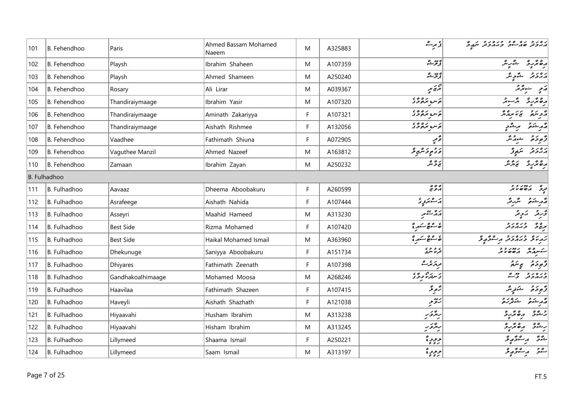| 101 | B. Fehendhoo | Paris             | Ahmed Bassam Mohamed<br>Naeem | M           | A325883 | بۇ بىر ھ                                                                                               | ر ہ ر و ر ہ و و ر ہ ر و ر ه ر و .<br>ג بر چ تر س س ح ج بر پر چر مرد ح |
|-----|--------------|-------------------|-------------------------------|-------------|---------|--------------------------------------------------------------------------------------------------------|-----------------------------------------------------------------------|
| 102 | B. Fehendhoo | Playsh            | Ibrahim Shaheen               | M           | A107359 | ە يە<br>بۇ <del>بۇ</del> شە                                                                            | ەرھەترىر <sup>9</sup><br>ىشگە پەنگر                                   |
| 103 | B. Fehendhoo | Playsh            | Ahmed Shameen                 | M           | A250240 | ە يە ھ                                                                                                 | ر ه ر د<br>مرگر فر<br>ڪُ <sub>تو</sub> مگر                            |
| 104 | B. Fehendhoo | Rosary            | Ali Lirar                     | M           | A039367 | ص پر<br>تنزیج سمپر                                                                                     | ړې د پر                                                               |
| 105 | B. Fehendhoo | Thandiraiymaage   | Ibrahim Yasir                 | M           | A107320 | اړسو بره دی<br>سر                                                                                      |                                                                       |
| 106 | B. Fehendhoo | Thandiraiymaage   | Aminath Zakariyya             | F           | A107321 | ر<br>مۇسر <sub>ىم مىر</sub> مورى                                                                       | پر پر د<br>مرگ سرچ<br>ى ئەسرە بىر                                     |
| 107 | B. Fehendhoo | Thandiraiymaage   | Aishath Rishmee               | F           | A132056 | ر<br>مۇسرو ئىرە <i>دى</i>                                                                              | پ <sup>و</sup> پر شوځ<br>برڪور                                        |
| 108 | B. Fehendhoo | Vaadhee           | Fathimath Shiuna              | F           | A072905 | حٌسٍ                                                                                                   | و مر د<br>در مر<br>شەر <sup>ى</sup> بىر<br>ك                          |
| 109 | B. Fehendhoo | Vaguthee Manzil   | Ahmed Nazeef                  | M           | A163812 | ر د <sub>مو</sub> ر ش <sub>کا</sub> و                                                                  | رەرو سَنجو                                                            |
| 110 | B. Fehendhoo | Zamaan            | Ibrahim Zayan                 | M           | A250232 | ىر ئەھ<br>ئى                                                                                           | مەھكەر ئەمرىر                                                         |
|     | B. Fulhadhoo |                   |                               |             |         |                                                                                                        |                                                                       |
| 111 | B. Fulhadhoo | Aavaaz            | Dheema Aboobakuru             | F           | A260599 | ره ه ه<br>در ه م                                                                                       | 77777<br>قرِرٌ                                                        |
| 112 | B. Fulhadhoo | Asrafeege         | Aishath Nahida                | F           | A107444 | ىز س <sup>9</sup> ىخرى <sub>م</sub> ى                                                                  | ة برختم                                                               |
| 113 | B. Fulhadhoo | Asseyri           | Maahid Hameed                 | M           | A313230 | اړه سمبر                                                                                               | ۇر تە<br>م<br>برَحٍ قر                                                |
| 114 | B. Fulhadhoo | <b>Best Side</b>  | Rizma Mohamed                 | F           | A107420 | $\overset{\circ}{\mathcal{E}}$                                                                         | برج څ<br>و رە ر د<br><i>د بە</i> پەر                                  |
| 115 | B. Fulhadhoo | <b>Best Side</b>  | Haikal Mohamed Ismail         | M           | A363960 | $\stackrel{o}{\mathcal{E}}\stackrel{o}{\mathcal{E}}\stackrel{o}{\mathcal{E}}\stackrel{o}{\mathcal{E}}$ | הגיב בגגבת גייבגב                                                     |
| 116 | B. Fulhadhoo | Dhekunuge         | Saniyya Aboobakuru            | $\mathsf F$ | A151734 | ے و و ء<br>تور مسری                                                                                    | 1 מצי 2<br><b>מ</b> יסים מ <sup>י</sup> מ<br>سەسەر                    |
| 117 | B. Fulhadhoo | <b>Dhiyares</b>   | Fathimath Zeenath             | $\mathsf F$ | A107398 | و پر بر ے                                                                                              | قَهْ وَحَقَّ مِي سَرَةَ                                               |
| 118 | B. Fulhadhoo | Gandhakoalhimaage | Mohamed Moosa                 | M           | A268246 | ر<br>ئەستىرىئا بورگانى                                                                                 | دومعه<br>و ر ه ر د<br>د بر پر تر                                      |
| 119 | B. Fulhadhoo | Haavilaa          | Fathimath Shazeen             | F           | A107415 | رٌّہ ِ تَرُ                                                                                            | ۇ ب <sub>و</sub> ر د<br>ىشكۈرىگر                                      |
| 120 | B. Fulhadhoo | Haveyli           | Aishath Shazhath              | F           | A121038 | ريمو                                                                                                   | شەۋر د<br>پ <sup>و</sup> مرشوح<br>مرم                                 |
| 121 | B. Fulhadhoo | Hiyaavahi         | Husham Ibrahim                | M           | A313238 | رېژوَر                                                                                                 | چە ئەھ<br>بەشقەرى<br>ە ھەمرىر 2<br>برھىمرىر 3                         |
| 122 | B. Fulhadhoo | Hiyaavahi         | Hisham Ibrahim                | M           | A313245 | رېژو <i>ر</i>                                                                                          | ە ھەمەر 2<br>برەھمەر 2<br>رىشىمى                                      |
| 123 | B. Fulhadhoo | Lillymeed         | Shaama Ismail                 | F           | A250221 | ووو ؟                                                                                                  | وستوحير<br>شَرْتُرُ                                                   |
| 124 | B. Fulhadhoo | Lillymeed         | Saam Ismail                   | M           | A313197 | و و د ه<br>ر و و                                                                                       | ەرسىۋەپەيج<br>ستمرس                                                   |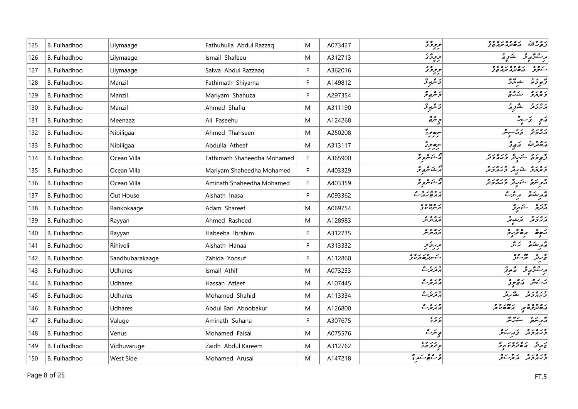| 125 | B. Fulhadhoo | Lilymaage        | Fathuhulla Abdul Razzaq     | M  | A073427 | ووڈء                                           | ر د د الله په موه بره د د<br>نومۍ الله په موه مردم مخ |
|-----|--------------|------------------|-----------------------------|----|---------|------------------------------------------------|-------------------------------------------------------|
| 126 | B. Fulhadhoo | Lilymaage        | Ismail Shafeeu              | M  | A312713 | ووڈء                                           | ر شرگړي شکړ ک                                         |
| 127 | B. Fulhadhoo | Lilymaage        | Salwa Abdul Razzaaq         | F. | A362016 | ووژء                                           | 1010707<br>103007675<br>سەۋۇ                          |
| 128 | B. Fulhadhoo | Manzil           | Fathimath Shiyama           | F  | A149812 | ۇمىئېۋ                                         | أراموخا والمسترائر                                    |
| 129 | B. Fulhadhoo | Manzil           | Mariyam Shahuza             | F  | A297354 | ئەشىر ۋ                                        | رەرە شەدىخ                                            |
| 130 | B. Fulhadhoo | Manzil           | Ahmed Shafiu                | M  | A311190 | ئەشىر ۋ                                        | رەر ئەر                                               |
| 131 | B. Fulhadhoo | Meenaaz          | Ali Faseehu                 | M  | A124268 | حريثره                                         | أة بموسير                                             |
| 132 | B. Fulhadhoo | Nibiligaa        | Ahmed Thahseen              | M  | A250208 | سرھ ورگا<br>مرم                                | رەرد روپە                                             |
| 133 | B. Fulhadhoo | Nibiligaa        | Abdulla Atheef              | M  | A313117 | سرھ مورگا<br>مرم                               | برە قراللە كەبور                                      |
| 134 | B. Fulhadhoo | Ocean Villa      | Fathimath Shaheedha Mohamed | F  | A365900 | رمسئە مى <i>گرى</i> مىگ                        | و دو شریگ دره دو                                      |
| 135 | B. Fulhadhoo | Ocean Villa      | Mariyam Shaheedha Mohamed   | F  | A403329 |                                                | و وره د عريد وره د و                                  |
| 136 | B. Fulhadhoo | Ocean Villa      | Aminath Shaheedha Mohamed   | F  | A403359 | ئەسىئە ئىرى <i>م</i> ىگە                       | أأوسكم كالميتر وبرودور                                |
| 137 | B. Fulhadhoo | Out House        | Aishath Inasa               | F  | A093362 | بر ده بر د ه                                   | ومرشوش مرشرش                                          |
| 138 | B. Fulhadhoo | Rankokaage       | Adam Shareef                | M  | A069754 | ر ٥ پر دي<br>برس لا ک                          | پره ش <sub>ک</sub> ړو<br>مرکز شکړو                    |
| 139 | B. Fulhadhoo | Rayyan           | Ahmed Rasheed               | M  | A128983 | ر ه بر ه<br>مرد مر مر                          | رەرە بەجى                                             |
| 140 | B. Fulhadhoo | Rayyan           | Habeeba Ibrahim             | F  | A312735 | ر ه بر ه<br>مرد مر مر                          |                                                       |
| 141 | B. Fulhadhoo | Rihiveli         | Aishath Hanaa               | F  | A313332 | ىررى<br>ئرىر ئىر                               | أقهر ينسعوا الكاثر                                    |
| 142 | B. Fulhadhoo | Sandhubarakaage  | Zahida Yoosuf               | F  | A112860 | ر که سرور در در در در بار<br>سه سرور من کرما ی | پ <sub>چ س</sub> ر پی مرسمبر دی بر                    |
| 143 | B. Fulhadhoo | <b>Udhares</b>   | Ismail Athif                | M  | A073233 | ەز ئەربىگە                                     | وڪرو ڏوو                                              |
| 144 | B. Fulhadhoo | <b>Udhares</b>   | Hassan Azleef               | M  | A107445 | ە ئەرىپە ھ                                     | يَرْسَسْ دَيْحِوِرْ                                   |
| 145 | B. Fulhadhoo | Udhares          | Mohamed Shahid              | M  | A113334 | ە ئەرىئە ھ                                     | ورەرو شەرق                                            |
| 146 | B. Fulhadhoo | Udhares          | Abdul Bari Aboobakur        | M  | A126800 | ەزىر ئە                                        | נסכם נחנדיב<br>גםתלסמ גםסטמ                           |
| 147 | B. Fulhadhoo | Valuge           | Aminath Suhana              | F  | A307675 | ر و ،<br>د تر                                  | ۇ جەمئە ئەسىر ئىر                                     |
| 148 | B. Fulhadhoo | Venus            | Mohamed Faisal              | M  | A075576 | وٍ پرَ ہے                                      | ورەرو تەرىنى                                          |
| 149 | B. Fulhadhoo | Vidhuvaruge      | Zaidh Abdul Kareem          | M  | A312762 | و د و ء<br>و ترو برد                           | ى مەس ھەمدى مەس                                       |
| 150 | B. Fulhadhoo | <b>West Side</b> | Mohamed Arusal              | M  | A147218 | <i>ء</i> ِ ص <sub>ف</sub> ھ سَمبر ۽            | ورەرو رورو                                            |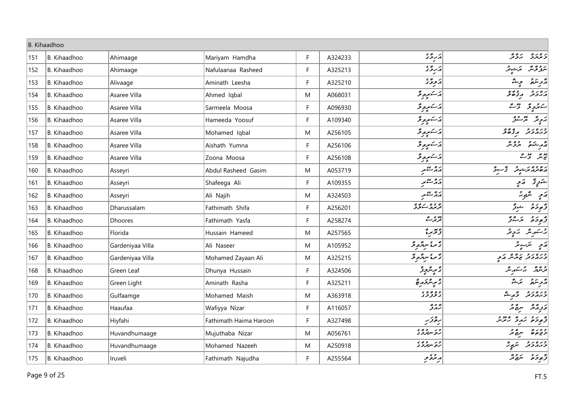|     | B. Kihaadhoo |                  |                        |    |         |                                           |                                                    |
|-----|--------------|------------------|------------------------|----|---------|-------------------------------------------|----------------------------------------------------|
| 151 | B. Kihaadhoo | Ahimaage         | Mariyam Hamdha         | F  | A324233 | ەردى                                      | ره ره بره و.<br>د بر بر بر تر                      |
| 152 | B. Kihaadhoo | Ahimaage         | Nafulaanaa Rasheed     | F  | A325213 | ەسرچە                                     | للموثوثة المرشوثر                                  |
| 153 | B. Kihaadhoo | Alivaage         | Aminath Leesha         | F  | A325210 | أتروح                                     | أأرد سكو المحيطة                                   |
| 154 | B. Kihaadhoo | Asaree Villa     | Ahmed Iqbal            | M  | A068031 | ە سەمبەء قە                               | رەرد مقصو                                          |
| 155 | B. Kihaadhoo | Asaree Villa     | Sarmeela Moosa         | F. | A096930 | أەسىسموقى                                 | سەر ئۇ بۇ يە                                       |
| 156 | B. Kihaadhoo | Asaree Villa     | Hameeda Yoosuf         | F  | A109340 | ە ئەسەبىرە بۇ<br>مەسىر                    | بر دیگر در دور<br>ایرو شر                          |
| 157 | B. Kihaadhoo | Asaree Villa     | Mohamed Iqbal          | M  | A256105 | ە ئەسەبىرە ب <sup>ەي</sup><br>ئ           | ورەرو مۇھۇ                                         |
| 158 | B. Kihaadhoo | Asaree Villa     | Aishath Yumna          | F  | A256106 | ە سەمبەء قە                               | أأرمضت الرونائر                                    |
| 159 | B. Kihaadhoo | Asaree Villa     | Zoona Moosa            | F  | A256108 | ە ئەسەبىرە ب <sup>ى</sup> ر<br>ئ          | دد میں دی مشرکت<br>اسی مثر                         |
| 160 | B. Kihaadhoo | Asseyri          | Abdul Rasheed Gasim    | M  | A053719 | لئەۋرىيىمىر                               | גە دەپرىيەتە ئ <sup>ە</sup> سىر                    |
| 161 | B. Kihaadhoo | Asseyri          | Shafeega Ali           | F  | A109355 | بره ي<br>مره شوبر                         |                                                    |
| 162 | B. Kihaadhoo | Asseyri          | Ali Najih              | M  | A324503 | لئەۋىئىمبر                                | ديم شيخ جم                                         |
| 163 | B. Kihaadhoo | Dharussalam      | Fathimath Shifa        | F  | A256201 | ء وه ريده<br>تربر پر سکوگ                 | و و ده شرو                                         |
| 164 | B. Kihaadhoo | <b>Dhoores</b>   | Fathimath Yasfa        | F  | A258274 | دد ،<br>تربر ک                            | وٌ ورَحْمَ الرَّسْوَرُ                             |
| 165 | B. Kihaadhoo | Florida          | Hussain Hameed         | M  | A257565 | وتبريد                                    |                                                    |
| 166 | B. Kihaadhoo | Gardeniyaa Villa | Ali Naseer             | M  | A105952 | ۇ ئىر، سەر ئەھ                            | جرسكويل الكروني<br>أوكوب الكروني<br>أوكوب الكرسوني |
| 167 | B. Kihaadhoo | Gardeniyaa Villa | Mohamed Zayaan Ali     | M  | A325215 | تجسد بمسر محرورتخر                        |                                                    |
| 168 | B. Kihaadhoo | Green Leaf       | Dhunya Hussain         | F. | A324506 | <sup>9</sup> ىر بىر بور 2                 | وه د محمد محمد محمد المحمد                         |
| 169 | B. Kihaadhoo | Green Light      | Aminath Rasha          | F  | A325211 | ە پرىترى <i>زى</i> رغ                     | أأدح المراكبة                                      |
| 170 | B. Kihaadhoo | Gulfaamge        | Mohamed Maish          | M  | A363918 | وه پره پر<br><i>د موگ</i> ور              | ورەرو ۇرى                                          |
| 171 | B. Kihaadhoo | Haaufaa          | Wafiyya Nizar          | F  | A116057 | رژوژ                                      | قروه شريحه                                         |
| 172 | B. Kihaadhoo | Hiyfahi          | Fathimath Haima Haroon | F. | A327498 | رە ئەر                                    | ومرد مرد معد                                       |
| 173 | B. Kihaadhoo | Huvandhumaage    | Mujuthaba Nizar        | M  | A056761 | و ر<br>ره سربرو د                         | 3 د ح مرگة<br>ح تو جي<br>سریح تنز                  |
| 174 | B. Kihaadhoo | Huvandhumaage    | Mohamed Nazeeh         | M  | A250918 | و رکھنے کا دیا ہے<br>مرک <i>و تعری</i> ری | و پر و پر و<br><i>و پر ډ</i> ېر<br>سَيٍّ           |
| 175 | B. Kihaadhoo | Iruveli          | Fathimath Najudha      | F. | A255564 | وبزة و                                    | تخ جي حر حر حر حر حر حر حر                         |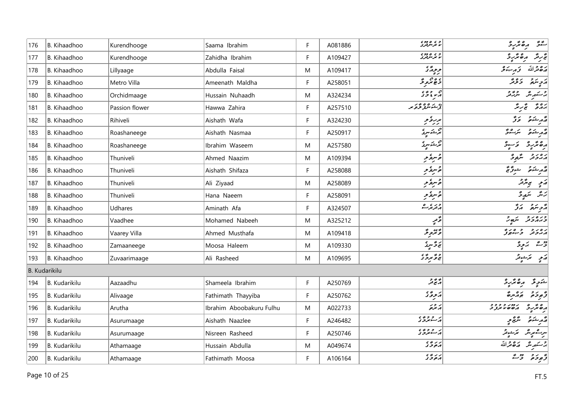| 176 | B. Kihaadhoo  | Kurendhooge    | Saama Ibrahim            | F  | A081886 | و ۽ ه دو ۽<br>ما مرس           | دە ئەرو<br>ستهوشح                                    |
|-----|---------------|----------------|--------------------------|----|---------|--------------------------------|------------------------------------------------------|
| 177 | B. Kihaadhoo  | Kurendhooge    | Zahidha Ibrahim          | F. | A109427 | و ۽ ه دو ۽<br>ما جرس قري       | ە ھەترىرى<br>م<br>پچ <sub>سر</sub> وگر               |
| 178 | B. Kihaadhoo  | Lillyaage      | Abdulla Faisal           | M  | A109417 | و وړي<br>ر <sub>ئ</sub>        | برە تراللە<br>ۇ بەسىدى                               |
| 179 | B. Kihaadhoo  | Metro Villa    | Ameenath Maldha          | F. | A258051 | <br> د ع نر <sub>و</sub> ڈ     | رەپۇ<br>ړې ښه                                        |
| 180 | B. Kihaadhoo  | Orchidmaage    | Hussain Nuhaadh          | M  | A324234 | ه<br>د سوء چې                  | سرگرفر<br>جر س <sub>ک</sub> ر میں<br>م               |
| 181 | B. Kihaadhoo  | Passion flower | Hawwa Zahira             | F  | A257510 | بۇي ھەم ئەر<br>بۇي ھەر ئۆتۈكىس | برەق تجربته                                          |
| 182 | B. Kihaadhoo  | Rihiveli       | Aishath Wafa             | F  | A324230 | ىرر ۋىر<br>ئرىر                | وكرمشتم وتمح                                         |
| 183 | B. Kihaadhoo  | Roashaneege    | Aishath Nasmaa           | F  | A250917 | ئۇيغۇمىيە ئە<br>               | ىئەرمەمچ<br>پ <sup>ر</sup> مرشہ حر                   |
| 184 | B. Kihaadhoo  | Roashaneege    | Ibrahim Waseem           | M  | A257580 | ترىشە يېرىكە                   | ەرھەترىر <sup>ى</sup><br>ىزىسەۋ                      |
| 185 | B. Kihaadhoo  | Thuniveli      | Ahmed Naazim             | M  | A109394 | ە<br>مۇسرەكىر                  | بر 2 بر 1<br>م.بر <del>5</del> تر<br>سَّفْرِقَر      |
| 186 | B. Kihaadhoo  | Thuniveli      | Aishath Shifaza          | F  | A258088 | ومحسرة مر                      | پ <sup>و</sup> مرشوحو<br>سنبوتونج                    |
| 187 | B. Kihaadhoo  | Thuniveli      | Ali Ziyaad               | M  | A258089 | ە<br>مۇسرەكە مە                | ړې بې پروتر<br>د پ                                   |
| 188 | B. Kihaadhoo  | Thuniveli      | Hana Naeem               | F  | A258091 | ە<br>مۇسرەكرىپە                | رَنگر سَمَدِهِ                                       |
| 189 | B. Kihaadhoo  | <b>Udhares</b> | Aminath Afa              | F  | A324507 | د ر ، م<br>مرمرسه              | ړې په د تر                                           |
| 190 | B. Kihaadhoo  | Vaadhee        | Mohamed Nabeeh           | M  | A325212 | حٌسٍ                           | ورەرو شھر                                            |
| 191 | B. Kihaadhoo  | Vaarey Villa   | Ahmed Musthafa           | M  | A109418 | ە بى<br>ھەمرە <sub>م</sub> ۇ   | ره رو و ه رو<br>مدرونر و سبوتي                       |
| 192 | B. Kihaadhoo  | Zamaaneege     | Moosa Haleem             | M  | A109330 | بحرثة سيح                      | روم پر دی کرده                                       |
| 193 | B. Kihaadhoo  | Zuvaarimaage   | Ali Rasheed              | M  | A109695 | د و برگړي<br>مح ځم پرڅنۍ       | أركمني المركب وكر                                    |
|     | B. Kudarikilu |                |                          |    |         |                                |                                                      |
| 194 | B. Kudarikilu | Aazaadhu       | Shameela Ibrahim         | F  | A250769 | پر بر حر<br>در سخ فر           | ە ئەنگەرى<br>مەھمەرىي<br>اڪو گر<br>—                 |
| 195 | B. Kudarikilu | Alivaage       | Fathimath Thayyiba       | F  | A250762 | پزیره ی                        | بر ه<br>جوړ <del>ب</del> ر گ<br>ۇ ب <sub>و</sub> ر د |
| 196 | B. Kudarikilu | Arutha         | Ibrahim Aboobakuru Fulhu | M  | A022733 | بر ور                          | ,,,,,,,,<br>,,,,,,,<br>ە ھەترىر <sup>ە</sup>         |
| 197 | B. Kudarikilu | Asurumaage     | Aishath Naazlee          | F  | A246482 | ر و و د »<br>پرستوری           | پ <sup>و</sup> مرشوځ<br>متزج محر                     |
| 198 | B. Kudarikilu | Asurumaage     | Nisreen Rasheed          | F  | A250746 | ر و و د »<br>پر سه بود د       | للرسمي كرسي                                          |
| 199 | B. Kudarikilu | Athamaage      | Hussain Abdulla          | M  | A049674 | ر ر د »<br>پره <del>و</del> د  | جر محمد مكانية                                       |
| 200 | B. Kudarikilu | Athamaage      | Fathimath Moosa          | F  | A106164 | د ر د د<br>  په پور د          | أَوَّجْعِدَهُ وَسَعَّ                                |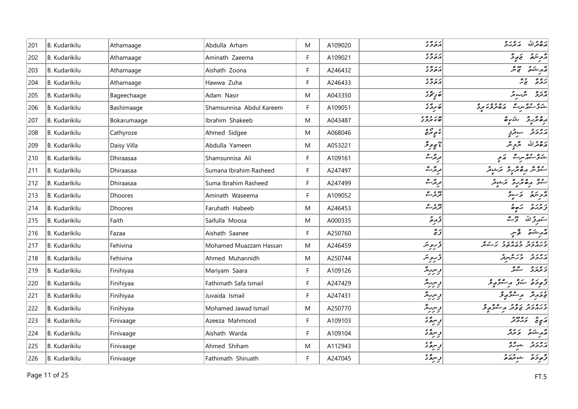| 201 | B. Kudarikilu | Athamaage      | Abdulla Arham            | M  | A109020 | ر ر د »<br>د ه د د                  | ەھىراللە<br>برءبره                   |
|-----|---------------|----------------|--------------------------|----|---------|-------------------------------------|--------------------------------------|
| 202 | B. Kudarikilu | Athamaage      | Aminath Zaeema           | F  | A109021 | ر ر د »<br>د ه د د                  | أرمز<br>تح جر پخ                     |
| 203 | B. Kudarikilu | Athamaage      | Aishath Zoona            | F. | A246432 | ر ر د »<br>د ه د د                  |                                      |
| 204 | B. Kudarikilu | Athamaage      | Hawwa Zuha               | F  | A246433 | ر ر د »<br>د ه <del>ر</del> ر       | $55 - 501$                           |
| 205 | B. Kudarikilu | Bageechaage    | Adam Nasir               | M  | A043350 | <br>  تەنەپىمى ئ                    | أوره مترسونر                         |
| 206 | B. Kudarikilu | Bashimaage     | Shamsunnisa Abdul Kareem | F  | A109051 | <br> خامرچری                        | دە دە برگ دەدەر ق                    |
| 207 | B. Kudarikilu | Bokarumaage    | Ibrahim Shakeeb          | M  | A043487 | پر ر د پر د<br>ت <i>ن برد د</i>     | رە ئەر ئىرە                          |
| 208 | B. Kudarikilu | Cathyroze      | Ahmed Sidgee             | M  | A068046 | ې موسم<br>موسم                      | ره رو<br>درگار دارد کرد              |
| 209 | B. Kudarikilu | Daisy Villa    | Abdulla Yameen           | M  | A053221 | ۽ سمج حرقحہ                         | برة قرالله مراج معر                  |
| 210 | B. Kudarikilu | Dhiraasaa      | Shamsunnisa Ali          | F  | A109161 | وبرتزت                              | لمشور وه مرتع مدر                    |
| 211 | B. Kudarikilu | Dhiraasaa      | Sumana Ibrahim Rasheed   | F. | A247497 | در پڑ گ                             |                                      |
| 212 | B. Kudarikilu | Dhiraasaa      | Suma Ibrahim Rasheed     | F  | A247499 | وړمگر گ                             | روم رەمۇرە مەجوم                     |
| 213 | B. Kudarikilu | <b>Dhoores</b> | Aminath Waseema          | F  | A109052 | ود ۽ ه                              | أأدويتهم أوسود                       |
| 214 | B. Kudarikilu | <b>Dhoores</b> | Faruhath Habeeb          | M  | A246453 | دد ،<br>تربر ک                      | 707 777                              |
| 215 | B. Kudarikilu | Faith          | Saifulla Moosa           | M  | A000335 | تومرچ                               | دومثر<br> ستوریخ اللّه               |
| 216 | B. Kudarikilu | Fazaa          | Aishath Saanee           | F  | A250760 | ترتج                                | وكرمشكر فتحسير                       |
| 217 | B. Kudarikilu | Fehivina       | Mohamed Muazzam Hassan   | M  | A246459 | ۇر <sub>ە</sub> بىر                 | ورەرو ورەرو رىمى<br>جەمەجىر جەمەنى ئ |
| 218 | B. Kudarikilu | Fehivina       | Ahmed Muhannidh          | M  | A250744 | ۇروپر                               | ره د در وره د                        |
| 219 | B. Kudarikilu | Finihiyaa      | Mariyam Saara            | F. | A109126 | اوسربرگر<br><u>سبب</u>              | د ه د و سر محمد                      |
| 220 | B. Kudarikilu | Finihiyaa      | Fathimath Safa Ismail    | F  | A247429 | او مبریہ پڑ<br><u>گرم</u> ر         | ۇي ئەچ سۆز بەستۇپ بۇ                 |
| 221 | B. Kudarikilu | Finihiyaa      | Juvaida Ismail           | F  | A247431 | او سربرگ <sup>ر</sup><br><u>سبب</u> | لقومر قريد والموالي والمحمد والمحمد  |
| 222 | B. Kudarikilu | Finihiyaa      | Mohamed Jawad Ismail     | M  | A250770 | او سربرگر<br>گیسیک                  | כנים ניבי ביני תשיכתי                |
| 223 | B. Kudarikilu | Finivaage      | Azeeza Mahmood           | F  | A109103 | و سرچ <sup>ء</sup><br>تر سرچ        | בישי בגרבת                           |
| 224 | B. Kudarikilu | Finivaage      | Aishath Warda            | F  | A109104 | وسرچ                                | أشهر مشتمح وممرش                     |
| 225 | B. Kudarikilu | Finivaage      | Ahmed Shiham             | M  | A112943 | و سرچ <sup>ي</sup>                  | رەرە ئورگ                            |
| 226 | B. Kudarikilu | Finivaage      | Fathimath Shiruath       | F. | A247045 | و سرچ <sup>ء</sup>                  | أو د و در د                          |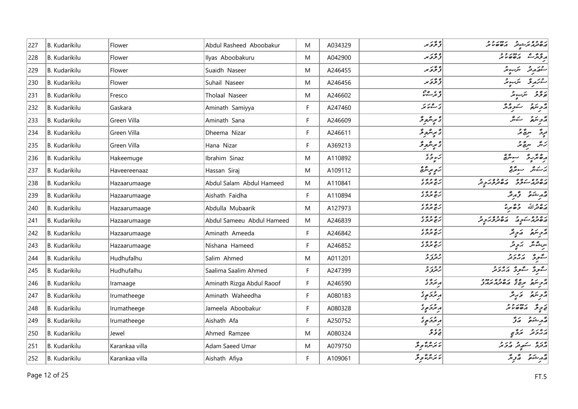| 227 | B. Kudarikilu | Flower         | Abdul Rasheed Aboobakur   | M  | A034329 | ە ئەترىر<br>توقرىمە                    | נ 22,000 מדינים<br>הסנגילייני הססטיל         |
|-----|---------------|----------------|---------------------------|----|---------|----------------------------------------|----------------------------------------------|
| 228 | B. Kudarikilu | Flower         | Ilyas Aboobakuru          | M  | A042900 | ە ئەترىر<br>توقرى                      |                                              |
| 229 | B. Kudarikilu | Flower         | Suaidh Naseer             | M  | A246455 | ە ئەترىر<br>توقرىمە                    | سقەرەقە سىبدىر                               |
| 230 | B. Kudarikilu | Flower         | Suhail Naseer             | M  | A246456 | و څري پر                               | سەبەر ۋ<br>ىئرسونر                           |
| 231 | B. Kudarikilu | Fresco         | Tholaal Naseer            | M  | A246602 | ه ۽ م                                  | أبرود الكرسونر                               |
| 232 | B. Kudarikilu | Gaskara        | Aminath Samiyya           | F  | A247460 | ىر ھەيزىر                              | ومحر متعرفه المستور                          |
| 233 | B. Kudarikilu | Green Villa    | Aminath Sana              | F. | A246609 | <sup>ە</sup> بې <sup>تر</sup> بۇ       | ۇ ئەسكە ئەسىگە                               |
| 234 | B. Kudarikilu | Green Villa    | Dheema Nizar              | F  | A246611 | ە بېرىئر <sub>ى</sub> رگە<br>ئ         |                                              |
| 235 | B. Kudarikilu | Green Villa    | Hana Nizar                | F  | A369213 | <sup>9</sup> ىيە يىرىمو ئ <sup>ۇ</sup> |                                              |
| 236 | B. Kudarikilu | Hakeemuge      | Ibrahim Sinaz             | M  | A110892 | ر رو ء<br>سوچ                          | ەر ھەترىرى<br>ر<br>بەيقى                     |
| 237 | B. Kudarikilu | Haveereenaaz   | Hassan Siraj              | M  | A109112 | ائەھ بىرىئى<br>كەنبە                   | ىرىكىش سەبۇقى                                |
| 238 | B. Kudarikilu | Hazaarumaage   | Abdul Salam Abdul Hameed  | M  | A110841 | ر ۶ و ۶ و<br>رسخ مور د                 | ره وه ر ده ده ده ده د<br>مان ده سود مان در د |
| 239 | B. Kudarikilu | Hazaarumaage   | Aishath Faidha            | F  | A110894 | ر ۶ و ۶ ء<br>رسخ مور د                 | مەرشىق ئەرت                                  |
| 240 | B. Kudarikilu | Hazaarumaage   | Abdulla Mubaarik          | M  | A127973 | ر بر و بر ،<br>رسخ بوری                | مَدْهُ مَرْاللّهِ وَتَقْعَدِ مِنْ            |
| 241 | B. Kudarikilu | Hazaarumaage   | Abdul Sameeu Abdul Hameed | M  | A246839 | ر ۶ و ۶ ی<br>رسخ بوری                  | גם כם גבר גם כם גבור.<br>הסטה בכה הסטיפיקט   |
| 242 | B. Kudarikilu | Hazaarumaage   | Aminath Ameeda            | F  | A246842 | ر پر و د ،<br>رسخ بور د                | أأروبتهم أأروقه                              |
| 243 | B. Kudarikilu | Hazaarumaage   | Nishana Hameed            | F. | A246852 | ر ۶ و ۶ ی<br>رسم مرو ی                 | سرمنڈنڈ کرونڈ                                |
| 244 | B. Kudarikilu | Hudhufalhu     | Salim Ahmed               | M  | A011201 | و ور و<br>رقرو ت                       | ستوو مهدومر                                  |
| 245 | B. Kudarikilu | Hudhufalhu     | Saalima Saalim Ahmed      | F. | A247399 | و ور و<br>رقرقر تر                     | سەرۇ سەرە مەدەر                              |
| 246 | B. Kudarikilu | Iramaage       | Aminath Rizga Abdul Raoof | F  | A246590 | بر پر دی                               | ם גב בם גם בסינה.<br>גביעת יהוד בסינגינגי    |
| 247 | B. Kudarikilu | Irumatheege    | Aminath Waheedha          | F  | A080183 | ېر بر دې<br>بر بر دې                   | أأترجع أقاربته                               |
| 248 | B. Kudarikilu | Irumatheege    | Jameela Aboobakur         | F. | A080328 | ېر تر <i>دې</i><br>ر                   | <br>  הַכְל גם סיט א                         |
| 249 | B. Kudarikilu | Irumatheege    | Aishath Afa               | F. | A250752 | ېر تر د ځو د<br>ر                      | أوار شوهي أواقي                              |
| 250 | B. Kudarikilu | Jewel          | Ahmed Ramzee              | M  | A080324 | و ، ه<br>قع مو                         | رەر دەستى ئەر                                |
| 251 | B. Kudarikilu | Karankaa villa | Adam Saeed Umar           | M  | A079750 | ئەنگەرىگە بۇ                           | وره کوړه ورو                                 |
| 252 | B. Kudarikilu | Karankaa villa | Aishath Afiya             | F. | A109061 | ئەنگەرىگە بوڭر                         | أقار مشكاته الأفراقر                         |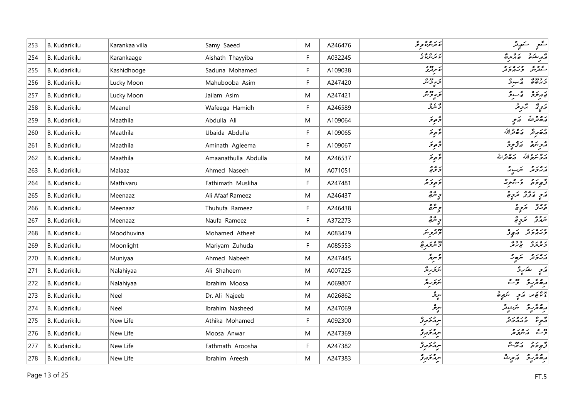| 253 | B. Kudarikilu | Karankaa villa | Samy Saeed           | M  | A246476 | ئەنگەرىگە بوڭر            | سەھەقىر<br>$\sum_{i=1}^{n}$                                                                                               |
|-----|---------------|----------------|----------------------|----|---------|---------------------------|---------------------------------------------------------------------------------------------------------------------------|
| 254 | B. Kudarikilu | Karankaage     | Aishath Thayyiba     | F  | A032245 | ر ر ه و و ،<br>ما مرس د د |                                                                                                                           |
| 255 | B. Kudarikilu | Kashidhooge    | Saduna Mohamed       | F. | A109038 | ر<br>ما موفری             | شۇر ئە<br>و رە ر د<br><i>د بە</i> گەر                                                                                     |
| 256 | B. Kudarikilu | Lucky Moon     | Mahubooba Asim       | F. | A247420 | ځرېږ چه                   | 50010<br>رژب و                                                                                                            |
| 257 | B. Kudarikilu | Lucky Moon     | Jailam Asim          | M  | A247421 | ئەرەج تىر<br>             | وَيسبوقر<br>ائے مرتز <sup>و</sup><br>سطر                                                                                  |
| 258 | B. Kudarikilu | Maanel         | Wafeega Hamidh       | F  | A246589 | پر ۽ ه<br>ر               | برٌحرِ قر<br>  ئەمۇتى<br>  قەمۇتى                                                                                         |
| 259 | B. Kudarikilu | Maathila       | Abdulla Ali          | M  | A109064 | و څمو ځه<br>ر             | مَصْعَراللَّه<br>ەتىر                                                                                                     |
| 260 | B. Kudarikilu | Maathila       | Ubaida Abdulla       | F  | A109065 | ۇ <sub>م</sub> وخە        |                                                                                                                           |
| 261 | B. Kudarikilu | Maathila       | Aminath Agleema      | F  | A109067 | قرموخه                    | أزويتم أروادي                                                                                                             |
| 262 | B. Kudarikilu | Maathila       | Amaanathulla Abdulla | M  | A246537 | ځېږځه                     | صصرالله<br>برځ بترچ الله                                                                                                  |
| 263 | B. Kudarikilu | Malaaz         | Ahmed Naseeh         | M  | A071051 | ترڅي                      | أربروتر الترسور                                                                                                           |
| 264 | B. Kudarikilu | Mathivaru      | Fathimath Musliha    | F  | A247481 | د موځ نمه                 | أوجوحه ومبتورة                                                                                                            |
| 265 | B. Kudarikilu | Meenaaz        | Ali Afaaf Rameez     | M  | A246437 | جريثره                    | ړې د ژو نرې                                                                                                               |
| 266 | B. Kudarikilu | Meenaaz        | Thuhufa Rameez       | F  | A246438 | جريثره                    | وه و سر <sub>و</sub> م                                                                                                    |
| 267 | B. Kudarikilu | Meenaaz        | Naufa Rameez         | F  | A372273 | جريثره                    | يَرُوَزُ - يَرَدِعْ                                                                                                       |
| 268 | B. Kudarikilu | Moodhuvina     | Mohamed Atheef       | M  | A083429 | دو د پر                   | دره رو در کرد و                                                                                                           |
| 269 | B. Kudarikilu | Moonlight      | Mariyam Zuhuda       | F  | A085553 | ومرتزرة                   | ح 2 مگر<br>سی مرکز<br>ر ه ر ه<br><del>ر</del> بربرگ                                                                       |
| 270 | B. Kudarikilu | Muniyaa        | Ahmed Nabeeh         | M  | A247445 | وحسرته                    | ر ه ر د<br>پر ژوگر<br>سرّەر                                                                                               |
| 271 | B. Kudarikilu | Nalahiyaa      | Ali Shaheem          | M  | A007225 | يتزبرير                   | $\begin{array}{cc} \mathcal{S} & \mathcal{S} & \mathcal{S} \\ \mathcal{S} & \mathcal{S} & \mathcal{S} \end{array}$        |
| 272 | B. Kudarikilu | Nalahiyaa      | Ibrahim Moosa        | M  | A069807 | يتزبزريم                  | ە ھېڭرىرى<br>برھېڭرىرى<br>درمیز                                                                                           |
| 273 | B. Kudarikilu | Neel           | Dr. Ali Najeeb       | M  | A026862 | سرچر                      | $\begin{bmatrix} 1 & 0 & 0 \\ 0 & 0 & 0 \\ 0 & 0 & 0 \end{bmatrix} \begin{bmatrix} 0 & 0 \\ 0 & 0 \\ 0 & 0 \end{bmatrix}$ |
| 274 | B. Kudarikilu | <b>Neel</b>    | Ibrahim Nasheed      | M  | A247069 | سرچر                      | رەڭرۇ سەيد                                                                                                                |
| 275 | B. Kudarikilu | New Life       | Athika Mohamed       | F  | A092300 | سرړځ مرتز                 | و ره ر د<br>تر <i>پر</i> و تر<br>په هېرمه<br>مرس                                                                          |
| 276 | B. Kudarikilu | New Life       | Moosa Anwar          | M  | A247369 | بىرە ئۇرۇ                 | وو مصرور                                                                                                                  |
| 277 | B. Kudarikilu | New Life       | Fathmath Aroosha     | F  | A247382 | بىرە ئۇرۇ                 | و مرد د<br>اقرامو حام<br>ىر 1972.<br>مەنبۇسىتى                                                                            |
| 278 | B. Kudarikilu | New Life       | Ibrahim Areesh       | M  | A247383 | سرچم توریخ                | رەنگرى كەيرىش                                                                                                             |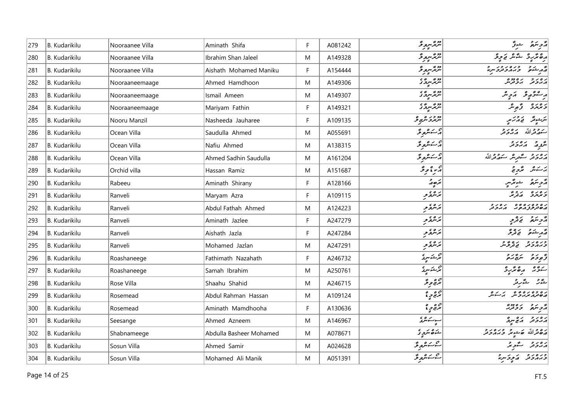| 279 | B. Kudarikilu        | Nooraanee Villa | Aminath Shifa           | F. | A081242 | يزىر<br>سرىر سرە بۇ                       | ۇ ئەسىم<br>مەسىم<br>شووٌ                     |
|-----|----------------------|-----------------|-------------------------|----|---------|-------------------------------------------|----------------------------------------------|
| 280 | B. Kudarikilu        | Nooraanee Villa | Ibrahim Shan Jaleel     | M  | A149328 | يزېژ س <sub>ره م</sub> ژ<br>د <u>پښتو</u> |                                              |
| 281 | B. Kudarikilu        | Nooraanee Villa | Aishath Mohamed Maniku  | F  | A154444 | يزېژ <sub>مبره قر</sub>                   | C C C C C C C C C                            |
| 282 | B. Kudarikilu        | Nooraaneemaage  | Ahmed Hamdhoon          | M  | A149306 | دور به دره<br>سرپر سرچري                  | رەر دەپەرە<br>مەدىر بەرىرىر                  |
| 283 | B. Kudarikilu        | Nooraaneemaage  | Ismail Ameen            | M  | A149307 | دو پر پره<br>سرپر سرچري                   | ر جۇم ئىم ئىم                                |
| 284 | B. Kudarikilu        | Nooraaneemaage  | Mariyam Fathin          | F  | A149321 | دور پر دی<br>سرپر سرچری                   | دەرە ئېرم                                    |
| 285 | B. Kudarikilu        | Nooru Manzil    | Nasheeda Jauharee       | F  | A109135 | <br> سر پر د سر پر و                      | لكرىشون <i>گى ئے م<sup>2</sup>كى پر</i>      |
| 286 | B. Kudarikilu        | Ocean Villa     | Saudulla Ahmed          | M  | A055691 | ە سەمى <sub>ھ ب</sub> ۇ                   | يە چە ئاللە ئەبرە                            |
| 287 | B. Kudarikilu        | Ocean Villa     | Nafiu Ahmed             | M  | A138315 | ە ئەسەھ <sub>ى</sub> ئە                   | شروح المركز والمحمد                          |
| 288 | B. Kudarikilu        | Ocean Villa     | Ahmed Sadhin Saudulla   | M  | A161204 | ە سەھ <sub>ى</sub> بوقە                   | برەرو گەرىر كەروللە                          |
| 289 | B. Kudarikilu        | Orchid villa    | Hassan Ramiz            | M  | A151687 | ەر بە ئوقر                                | برسە شەجرى                                   |
| 290 | <b>B.</b> Kudarikilu | Rabeeu          | Aminath Shirany         | F  | A128166 | برَه د                                    | وحريتكم المسترس                              |
| 291 | B. Kudarikilu        | Ranveli         | Maryam Azra             | F  | A109115 | برەء                                      | ره ره در ور<br>د بر رو مرکز                  |
| 292 | B. Kudarikilu        | Ranveli         | Abdul Fathah Ahmed      | M  | A124223 | برءيمو                                    | ره وه ره ده مدر در د<br>مصر ژومری کر مدر تر  |
| 293 | B. Kudarikilu        | Ranveli         | Aminath Jazlee          | F. | A247279 | برەء                                      | أترجر سنتمر فأفرمي                           |
| 294 | B. Kudarikilu        | Ranveli         | Aishath Jazla           | F  | A247284 | برەء                                      | و مرحکم ہے تر تحریک                          |
| 295 | B. Kudarikilu        | Ranveli         | Mohamed Jazlan          | M  | A247291 | برەء                                      | ورەر دەرەپ<br><i>دىدە</i> دىر ئى <i>زگەر</i> |
| 296 | B. Kudarikilu        | Roashaneege     | Fathimath Nazahath      | F  | A246732 | ئۇيغۇمىيوپچ                               | أوجوحا مستجابهم                              |
| 297 | B. Kudarikilu        | Roashaneege     | Samah Ibrahim           | M  | A250761 | ترڪسري<br>ترڪس                            | سەۋر<br>برە ئۆرۈ                             |
| 298 | B. Kudarikilu        | Rose Villa      | Shaahu Shahid           | M  | A246715 | ە ە<br>ئىرىج <sub>قر</sub> ىڅە            | ىقەر ئىقلارلىر                               |
| 299 | B. Kudarikilu        | Rosemead        | Abdul Rahman Hassan     | M  | A109124 | ە ە ھ<br>مرىخ ج <sub>و</sub> لا           | ره ده ده ده و در کرد.<br>مان مرد بربرد ش     |
| 300 | B. Kudarikilu        | Rosemead        | Aminath Mamdhooha       | F  | A130636 | ە ە<br>ئىرىم چ                            | اممر سره دره دوره<br>اممر سره در دربر        |
| 301 | B. Kudarikilu        | Seesange        | Ahmed Azneem            | M  | A146967 | اب مەنىۋى<br>پە                           | גם גב גם תב                                  |
| 302 | B. Kudarikilu        | Shabnameege     | Abdulla Basheer Mohamed | M  | A078671 | ے ک <i>ے سرچ</i> ک                        | رە داللە ھُھىي دېرەرد                        |
| 303 | B. Kudarikilu        | Sosun Villa     | Ahmed Samir             | M  | A024628 | استشفره                                   | ره رو گرو                                    |
| 304 | B. Kudarikilu        | Sosun Villa     | Mohamed Ali Manik       | M  | A051391 | <u>شرىكى ئىرى ئە</u>                      | כממכנה התביתי                                |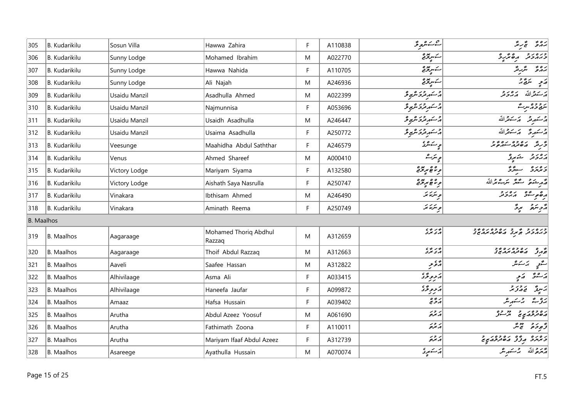| 305        | B. Kudarikilu | Sosun Villa   | Hawwa Zahira                    | F         | A110838 | ح سەمب <sub>ى</sub> رىگە                                                                                    | برە ئەرىئە                                      |
|------------|---------------|---------------|---------------------------------|-----------|---------|-------------------------------------------------------------------------------------------------------------|-------------------------------------------------|
| 306        | B. Kudarikilu | Sunny Lodge   | Mohamed Ibrahim                 | M         | A022770 | ر<br>سەس <sub>ە</sub> پىرو                                                                                  | و ر ه ر د<br><i>و پر پر</i> وتر<br>مەھمەرد      |
| 307        | B. Kudarikilu | Sunny Lodge   | Hawwa Nahida                    | F         | A110705 | ڪ سرچر <sup>0</sup><br>په سرچر                                                                              | رە بە<br>برگەن<br>ىتزىرىتر                      |
| 308        | B. Kudarikilu | Sunny Lodge   | Ali Najah                       | M         | A246936 | ڪ سرچر <sup>ي</sup><br>سکس <sub>ي</sub> پرويج                                                               | أوسم المروج                                     |
| 309        | B. Kudarikilu | Usaidu Manzil | Asadhulla Ahmed                 | M         | A022399 | رمسم پر تر تر شریح څه                                                                                       | مرسة قرالله<br>پرور و                           |
| 310        | B. Kudarikilu | Usaidu Manzil | Najmunnisa                      | F         | A053696 | ە سەرەر ھەيج ۋ                                                                                              | ىر 332 مىرىگە<br>سرچ قرا <i>ئ</i> رىپ           |
| 311        | B. Kudarikilu | Usaidu Manzil | Usaidh Asadhulla                | M         | A246447 | رمسكر فركز محتفي فحر                                                                                        | ومسور وتر تحت الله                              |
| 312        | B. Kudarikilu | Usaidu Manzil | Usaima Asadhulla                | F         | A250772 | ە سەرەر شەغ                                                                                                 | وكروء وكتعرالله                                 |
| 313        | B. Kudarikilu | Veesunge      | Maahidha Abdul Saththar         | F         | A246579 | لويسكري                                                                                                     | و ده ده ده ده دود                               |
| 314        | B. Kudarikilu | Venus         | Ahmed Shareef                   | M         | A000410 | <sub>حو</sub> متر م                                                                                         | پرورو شهرو                                      |
| 315        | B. Kudarikilu | Victory Lodge | Mariyam Siyama                  | F         | A132580 | ه ۵ ۵ میوند<br>رسم علم توسیح                                                                                | وبرو سترد                                       |
| 316        | B. Kudarikilu | Victory Lodge | Aishath Saya Nasrulla           | F         | A250747 | ورثا هج مرحرم                                                                                               | وَمَ مِسْوَمٍ مُسَمَّرٌ مَرَبَّةٍ مِّرَ اللَّهُ |
| 317        | B. Kudarikilu | Vinakara      | Ibthisam Ahmed                  | M         | A246490 | ءِ پئر پائیز                                                                                                |                                                 |
| 318        | B. Kudarikilu | Vinakara      | Aminath Reema                   | F         | A250749 | ءِ مئر پائک                                                                                                 | أأروسكم بردمج                                   |
| B. Maalhos |               |               |                                 |           |         |                                                                                                             |                                                 |
| 319        | B. Maalhos    | Aagaraage     | Mohamed Thorig Abdhul<br>Razzaq | ${\sf M}$ | A312659 | یز بر بر بر<br>در تر تر تر                                                                                  |                                                 |
| 320        | B. Maalhos    | Aagaraage     | Thoif Abdul Razzaq              | M         | A312663 | ه د په د<br>د د بو د                                                                                        | 220102010 318                                   |
| 321        | B. Maalhos    | Aaveli        | Saafee Hassan                   | M         | A312822 | رحمح محر                                                                                                    | الشوي الاسكانكر                                 |
| 322        | B. Maalhos    | Alhivilaage   | Asma Ali                        | F         | A033415 | د د و ژه<br>د د و ژه                                                                                        | $\frac{1}{2}$ $\frac{2}{3}$ $\frac{2}{3}$       |
| 323        | B. Maalhos    | Alhivilaage   | Haneefa Jaufar                  | F         | A099872 | د روځ د<br>مرم                                                                                              | رُسِرٌ مَمَرُكَ                                 |
| 324        | B. Maalhos    | Amaaz         | Hafsa Hussain                   | F         | A039402 | $\overset{\circ}{\tilde{\phantom{\phi}}\phantom{\tilde{\phantom{\phi}}\!\!\!\!\!\!}}\tilde{\phantom{\phi}}$ | پرویځ پر شهر مر                                 |
| 325        | B. Maalhos    | Arutha        | Abdul Azeez Yoosuf              | M         | A061690 | بر بر بر<br>بر بره                                                                                          | גם כם גדוד כם<br>הסתיכה <sub>ב</sub> ה          |
| 326        | B. Maalhos    | Arutha        | Fathimath Zoona                 | F         | A110011 | بر ور                                                                                                       | أوجوحهم تمجم                                    |
| 327        | B. Maalhos    | Arutha        | Mariyam Ifaaf Abdul Azeez       | F         | A312739 | بر تریم                                                                                                     | ן פיקס הקר הסתיבה <sub>בי</sub>                 |
| 328        | B. Maalhos    | Asareege      | Ayathulla Hussain               | M         | A070074 | ېر کے بیری<br>پ                                                                                             | مجرم الله حر محمد مثر                           |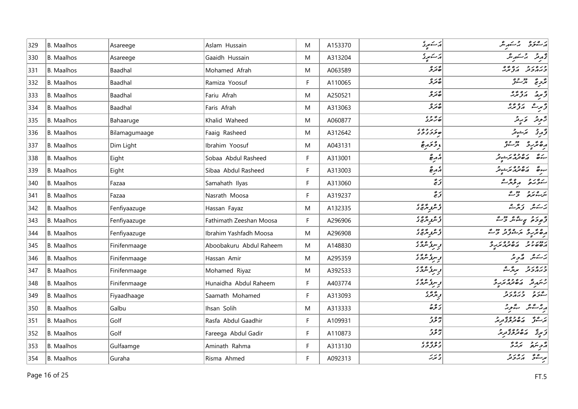| 329 | B. Maalhos | Asareege      | Aslam Hussain           | M           | A153370 | ىز سەئىرى<br>مە                      | وسنعرف ومسكره                                                                                             |
|-----|------------|---------------|-------------------------|-------------|---------|--------------------------------------|-----------------------------------------------------------------------------------------------------------|
| 330 | B. Maalhos | Asareege      | Gaaidh Hussain          | M           | A313204 | ېز س <sup>ت</sup> ومېږي<br>په        | تجمع بالمسكم مثر مثر                                                                                      |
| 331 | B. Maalhos | Baadhal       | Mohamed Afrah           | M           | A063589 | ەر ە<br>ھەرىر                        | כנסנכ נסשם<br>כנמכת הציגו                                                                                 |
| 332 | B. Maalhos | Baadhal       | Ramiza Yoosuf           | F           | A110065 | ەر ە<br>ھەرن                         | ترویج از منظر                                                                                             |
| 333 | B. Maalhos | Baadhal       | Fariu Afrah             | Μ           | A250521 | پی رہ<br>  حضر مو                    | وٌ بره " دو بره و                                                                                         |
| 334 | B. Maalhos | Baadhal       | Faris Afrah             | Μ           | A313063 | ر ره<br>ن <i>ه</i> ترنژ              | ۇ بر ئەرەپرە                                                                                              |
| 335 | B. Maalhos | Bahaaruge     | Khalid Waheed           | M           | A060877 | ر پر و ،<br>ن <i>نا تر</i> و         | تزویر او پر                                                                                               |
| 336 | B. Maalhos | Bilamagumaage | Faaig Rasheed           | M           | A312642 | c # ? ; ; p<br>5 ? 5 ? 9 0           | وَمَعْ مَسْوِمْ                                                                                           |
| 337 | B. Maalhos | Dim Light     | Ibrahim Yoosuf          | M           | A043131 | ورحمزه                               | $\begin{array}{cccc} 0 & 2 & 2 & 0 & 4 & 0 \\ 0 & - & 2 & 0 & 0 & 0 \\ 0 & 0 & 0 & 0 & 0 & 0 \end{array}$ |
| 338 | B. Maalhos | Eight         | Sobaa Abdul Rasheed     | F.          | A313001 | مرمو                                 | ر په ده وه ر<br>سره د ه تر د برشوتر                                                                       |
| 339 | B. Maalhos | Eight         | Sibaa Abdul Rasheed     | F           | A313003 | يرمو                                 | ه ده وه ر<br>سوځ په ه تر د بر شوتر<br>خ                                                                   |
| 340 | B. Maalhos | Fazaa         | Samahath Ilyas          | F           | A313060 | ترتج                                 | سۇمرە مەھرى                                                                                               |
| 341 | B. Maalhos | Fazaa         | Nasrath Moosa           | F           | A319237 | تریخ                                 | ش قرار دور د                                                                                              |
| 342 | B. Maalhos | Fenfiyaazuge  | Hassan Fayaz            | Μ           | A132335 | ۇ شرىر ئىرى                          | برسەش تۇرگىشە                                                                                             |
| 343 | B. Maalhos | Fenfiyaazuge  | Fathimath Zeeshan Moosa | F           | A296906 | ې شرو پژه <sup>ي</sup>               | توجوجو بإيشكر وحمي                                                                                        |
| 344 | B. Maalhos | Fenfiyaazuge  | Ibrahim Yashfadh Moosa  | M           | A296908 | ې ه <sub>روگ</sub> ې د               | ם מים הפינית בית.<br>תפימת כילינית ביל                                                                    |
| 345 | B. Maalhos | Finifenmaage  | Aboobakuru Abdul Raheem | M           | A148830 | و سرڈ شرد کو                         | נמני ככ נסכם נים<br>גםסטית גםתגיתיה                                                                       |
| 346 | B. Maalhos | Finifenmaage  | Hassan Amir             | M           | A295359 | ر سرگە شر <sup>ى</sup> رى            | يرَ سَدَسَ الْمُرْحَمَدُ                                                                                  |
| 347 | B. Maalhos | Finifenmaage  | Mohamed Riyaz           | M           | A392533 | ر سرگە ئەم <sup>دى</sup>             | ورەرو برگرم                                                                                               |
| 348 | B. Maalhos | Finifenmaage  | Hunaidha Abdul Raheem   | F           | A403774 | اوسۇغۇچ                              | ر مر محمد مدار محمد محمد برد                                                                              |
| 349 | B. Maalhos | Fiyaadhaage   | Saamath Mohamed         | F           | A313093 | و پژ <sub>هند</sub> ي                | ور در درو<br>سگوه وبروونر                                                                                 |
| 350 | B. Maalhos | Galbu         | Ihsan Solih             | M           | A313333 | ر ه د<br>د نره                       | ەرشەشقىر سەئىرىز                                                                                          |
| 351 | B. Maalhos | Golf          | Rasfa Abdul Gaadhir     | F.          | A109931 | بره د<br>د نرو                       | ر <u>ه د د ده د د و</u><br>برخو د ه د وزارتو تر                                                           |
| 352 | B. Maalhos | Golf          | Fareega Abdul Gadir     | $\mathsf F$ | A110873 | بره د                                | أَوَسِرَةٌ صَصْرَ وَقَوْمَ مِرْسَرٍ                                                                       |
| 353 | B. Maalhos | Gulfaamge     | Aminath Rahma           | F           | A313130 | و ه و ه ه ،<br>د <del>و</del> تو و د | أأدبتهم برود                                                                                              |
| 354 | B. Maalhos | Guraha        | Risma Ahmed             | F           | A092313 | ح مور<br>مح <b>س</b> م رک            | برساق برەرد                                                                                               |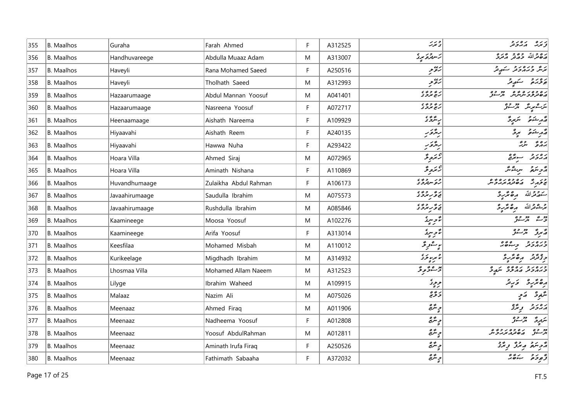| 355 | B. Maalhos | Guraha         | Farah Ahmed           | F  | A312525 | ح مربر<br>مح <b>س</b> مربر                  | كوتره برەر د                                 |
|-----|------------|----------------|-----------------------|----|---------|---------------------------------------------|----------------------------------------------|
| 356 | B. Maalhos | Handhuvareege  | Abdulla Muaaz Adam    | M  | A313007 | ئەسە <i>ترەكىب</i> ىدىگە                    | ره د الله دورو وره                           |
| 357 | B. Maalhos | Haveyli        | Rana Mohamed Saeed    | F. | A250516 | ريمو                                        | بر پر دره د د سکه میگر                       |
| 358 | B. Maalhos | Haveyli        | Tholhath Saeed        | M  | A312993 | ريىپىر                                      | أبره رح سكور تر                              |
| 359 | B. Maalhos | Hazaarumaage   | Abdul Mannan Yoosuf   | M  | A041401 | ر پر و پر ی<br>تریخ بور <del>گ</del>        | ره وه ره مه ه د وه<br>پره ترخر ترس ش سر      |
| 360 | B. Maalhos | Hazaarumaage   | Nasreena Yoosuf       | F  | A072717 | ر بر و بر ،<br>رسخ بوری                     | ىئەسىر يىلى قارىسى <i>ۋە</i>                 |
| 361 | B. Maalhos | Heenaamaage    | Aishath Nareema       | F  | A109929 | ر پژو <sup>ي</sup>                          | وكرمشكم الكرمرة                              |
| 362 | B. Maalhos | Hiyaavahi      | Aishath Reem          | F  | A240135 | رېژوَر                                      |                                              |
| 363 | B. Maalhos | Hiyaavahi      | Hawwa Nuha            | F. | A293422 | ىرەژچە بە                                   | $rac{20}{200}$<br>سرمير                      |
| 364 | B. Maalhos | Hoara Villa    | Ahmed Siraj           | M  | A072965 | ە ئەئىرى <sub>م</sub> ۇ                     | رور در و                                     |
| 365 | B. Maalhos | Hoara Villa    | Aminath Nishana       | F. | A110869 | لرمرورمحه                                   | أترجم أستحار                                 |
| 366 | B. Maalhos | Huvandhumaage  | Zulaikha Abdul Rahman | F  | A106173 | و ر پوه ه<br>ره سربرو د                     | ره وه ره د ه<br>پره تربر تر س<br>تح تحرمر جح |
| 367 | B. Maalhos | Javaahirumaage | Saudulla Ibrahim      | M  | A075573 | ئەڭرىر ئەدى                                 | يە دەللە مەھمەر                              |
| 368 | B. Maalhos | Javaahirumaage | Rushdulla Ibrahim     | M  | A085846 | پر څر پر چري<br>  پر ځر پر چر <sub>چر</sub> | بره دالله مره بگر و                          |
| 369 | B. Maalhos | Kaamineege     | Moosa Yoosuf          | M  | A102276 | م <sup>ہ</sup> حر سر ئے<br>مر               | دی میں دو                                    |
| 370 | B. Maalhos | Kaamineege     | Arifa Yoosuf          | F  | A313014 | مۇجەسى<br>مەس                               | ە ئىبرۇ ھەسىز                                |
| 371 | B. Maalhos | Keesfilaa      | Mohamed Misbah        | M  | A110012 | ى <sub>ي</sub> س <sup>ە</sup> وپ            |                                              |
| 372 | B. Maalhos | Kurikeelage    | Migdhadh Ibrahim      | M  | A314932 | تړبرېږي<br>                                 | وتحترم مرەمجرىرى                             |
| 373 | B. Maalhos | Lhosmaa Villa  | Mohamed Allam Naeem   | M  | A312523 | ترىئىۋە ئە                                  | כנסנכ נספס הבר<br>בההכת ההיבכ הבל            |
| 374 | B. Maalhos | Lilyge         | Ibrahim Waheed        | M  | A109915 | و و د<br>ري                                 | وەنزىرە كېرىز                                |
| 375 | B. Maalhos | Malaaz         | Nazim Ali             | M  | A075026 | ىر ئۇيج                                     | شموش مأمي                                    |
| 376 | B. Maalhos | Meenaaz        | Ahmed Firaq           | M  | A011906 | جريثي                                       |                                              |
| 377 | B. Maalhos | Meenaaz        | Nadheema Yoosuf       | F. | A012808 | جريثي                                       | ىكەرگە ئەرتىقۇ                               |
| 378 | B. Maalhos | Meenaaz        | Yoosuf AbdulRahman    | M  | A012811 | جريثره                                      | מ כם גם כם גבעים<br>ת—נ גם <i>נתח הגב</i> ית |
| 379 | B. Maalhos | Meenaaz        | Aminath Irufa Firaq   | F  | A250526 | جريثره                                      | ومجالبهم وبترز وبترة                         |
| 380 | B. Maalhos | Meenaaz        | Fathimath Sabaaha     | F. | A372032 | جريثي                                       | و دو دهو                                     |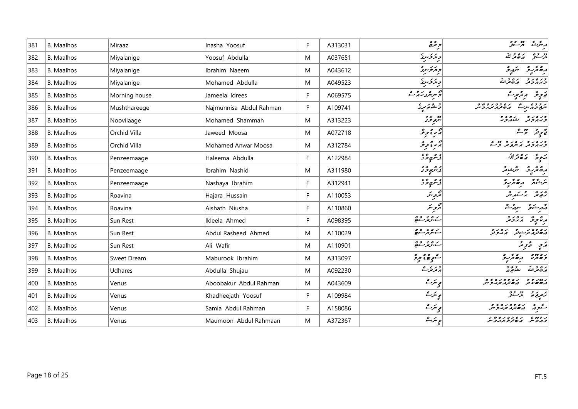| 381 | B. Maalhos | Miraaz         | Inasha Yoosuf           | F  | A313031 | جرمگرم                                       | در در<br>مرگ<br>  مرسَّرْتَ حَمَّ                                           |
|-----|------------|----------------|-------------------------|----|---------|----------------------------------------------|-----------------------------------------------------------------------------|
| 382 | B. Maalhos | Miyalanige     | Yoosuf Abdulla          | M  | A037651 | جەد ئەسرى                                    | دد په دو<br>صقعرالله                                                        |
| 383 | B. Maalhos | Miyalanige     | Ibrahim Naeem           | M  | A043612 | احەدىجە سرىگە                                | ەر ھەتمەر 2<br>س<br>سمەر                                                    |
| 384 | B. Maalhos | Miyalanige     | Mohamed Abdulla         | M  | A049523 | <br>ریز ترسر                                 | و رە ر د<br><i>د بر</i> گەر<br>برە قراللە                                   |
| 385 | B. Maalhos | Morning house  | Jameela Idrees          | F  | A069575 | ئۇسرىئرىرىگەگ                                | فأويحر الرمرمير شو                                                          |
| 386 | B. Maalhos | Mushthareege   | Najmunnisa Abdul Rahman | F  | A109741 | ۇ شەھ <sub>ىبرى</sub>                        | ره وه ره ده.<br>مەھەر بربرگ<br>ىر 325 مەرگە                                 |
| 387 | B. Maalhos | Noovilaage     | Mohamed Shammah         | M  | A313223 | دو پر ،<br>سر <sub>ج م</sub> حر <sub>ک</sub> | شەھ بۇ ج<br>و رە ر د<br>تر پر تر تر                                         |
| 388 | B. Maalhos | Orchid Villa   | Jaweed Moosa            | M  | A072718 | ەر بە ھەقە<br>مەسىم ھەقىر                    | قَ مِ مِنْ مَنْ حَمْ حَسَّمَ                                                |
| 389 | B. Maalhos | Orchid Villa   | Mohamed Anwar Moosa     | M  | A312784 | وسوء وقر                                     | כנסג ב גםגב בדי יי                                                          |
| 390 | B. Maalhos | Penzeemaage    | Haleema Abdulla         | F  | A122984 | ئۇنترىپو ئەتر                                | صكارية<br>برَوِدٌ                                                           |
| 391 | B. Maalhos | Penzeemaage    | Ibrahim Nashid          | M  | A311980 | ې ش <sub>کىچ</sub> ىرى                       | ەرھ ئ <sup>ۆ</sup> ر ۋ<br>سُرُشوترُ                                         |
| 392 | B. Maalhos | Penzeemaage    | Nashaya Ibrahim         | F  | A312941 | ې پر پې پ <sup>ې</sup> د                     | سريشويز<br>ەھ ترىرى                                                         |
| 393 | B. Maalhos | Roavina        | Hajara Hussain          | F  | A110053 | ترويئر                                       | رًى تَرْ بِرْسَهِ بِرْ                                                      |
| 394 | B. Maalhos | Roavina        | Aishath Niusha          | F. | A110860 | ترويئر                                       | أمار مسكوم المستمر المستكر                                                  |
| 395 | B. Maalhos | Sun Rest       | Ikleela Ahmed           | F. | A098395 | ئەش <i>رىز ش</i> ەھ                          | دِيْعَ يِهِ دَيْرَ مَدْ                                                     |
| 396 | B. Maalhos | Sun Rest       | Abdul Rasheed Ahmed     | M  | A110029 | ئەنگەر <i>ھ</i> ەھ                           | גם כם <i>ג'ייי</i> נג' ג'וריכנג'<br>ג'י <i>ם נה ג'ייי</i> נג' ג'וריכנג'     |
| 397 | B. Maalhos | Sun Rest       | Ali Wafir               | M  | A110901 | ر پر پر ماہ<br>سے سر <i>پر ب</i>             | پەيغى ئۇرىتى                                                                |
| 398 | B. Maalhos | Sweet Dream    | Maburook Ibrahim        | M  | A313097 | م و و و و <sub>و</sub> و<br>موظ و مړ         | ر ه دده<br>تر ت <i>ه بو</i> ر<br>ە ھەمەر 2<br>بەھەمەر 2                     |
| 399 | B. Maalhos | <b>Udhares</b> | Abdulla Shujau          | M  | A092230 | ەزىر ئە                                      | ے جو مجے ہر<br>رەيراللە                                                     |
| 400 | B. Maalhos | Venus          | Aboobakur Abdul Rahman  | M  | A043609 | ا <sub>عو</sub> مترقع                        | ر ٥ د ٥ ر ٥ د ٥<br>پره تر بر بر تر س<br>נ בבני כ"כ"<br>גיסים מ"זק           |
| 401 | B. Maalhos | Venus          | Khadheejath Yoosuf      | F  | A109984 | ءِ سَرَتْہ                                   | دو يەھ<br>مرگسىز<br>ا پر ورځ ح<br>ت                                         |
| 402 | B. Maalhos | Venus          | Samia Abdul Rahman      | F  | A158086 | ء ٍ سَرَتْ                                   | ر ٥ ر ٥ ر ٥ ر و<br>پره تر پر بر تر س<br>ستزدته                              |
| 403 | B. Maalhos | Venus          | Maumoon Abdul Rahmaan   | M  | A372367 | ا <sub>ھي</sub> ىئرتے                        | ر ٥ ٥ ٥ ٥ ٥ ٥ ٠<br>۵ ت <i>ی فرمز بر ب</i> ر ش<br>ر و دو ه<br><i>د ۸ د</i> س |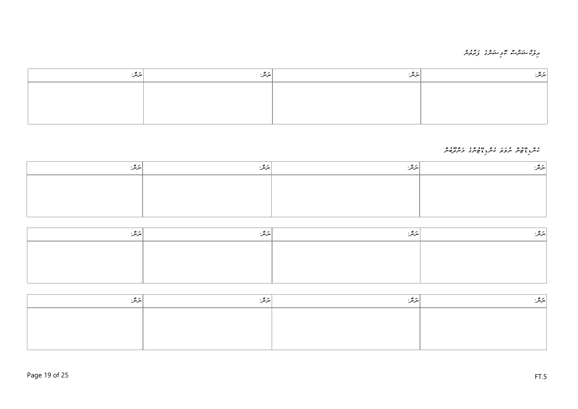## *w7qAn8m?sCw7mRo>u;wEw7mRw;sBo<*

| ' مرمر | 'يئرىثر: |
|--------|----------|
|        |          |
|        |          |
|        |          |

## *w7q9r@w7m>sCw7qHtFoFw7s;mAm=q7w7qHtFoFw7s;*

| يئرمىش: | $^{\circ}$<br>. سر سر<br>$\cdot$ | $\circ$ $\sim$<br>-- | يئرمثر |
|---------|----------------------------------|----------------------|--------|
|         |                                  |                      |        |
|         |                                  |                      |        |
|         |                                  |                      |        |

| يره | $^{\circ}$ | $\frac{2}{n}$ | $^{\circ}$<br>سرسر. |
|-----|------------|---------------|---------------------|
|     |            |               |                     |
|     |            |               |                     |
|     |            |               |                     |

| ىرتىر: | 。<br>سر سر | .,<br>مرسر |
|--------|------------|------------|
|        |            |            |
|        |            |            |
|        |            |            |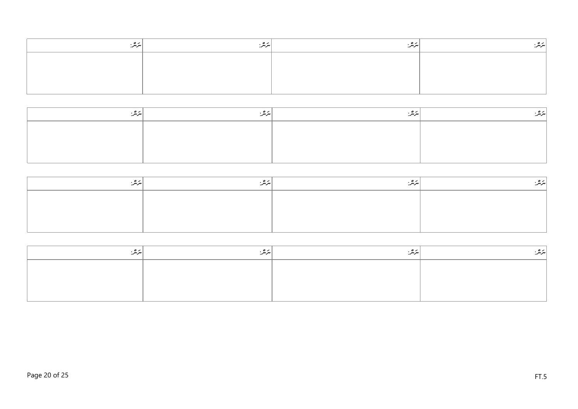| يره. | ο. | ا ير ه |  |
|------|----|--------|--|
|      |    |        |  |
|      |    |        |  |
|      |    |        |  |

| <sup>.</sup> سرسر. |  |
|--------------------|--|
|                    |  |
|                    |  |
|                    |  |

| ىئرىتر. | $\sim$ | ا بر هه. | لىرىش |
|---------|--------|----------|-------|
|         |        |          |       |
|         |        |          |       |
|         |        |          |       |

| 。<br>مرس. | $\overline{\phantom{a}}$<br>مر مىر | يتريثر |
|-----------|------------------------------------|--------|
|           |                                    |        |
|           |                                    |        |
|           |                                    |        |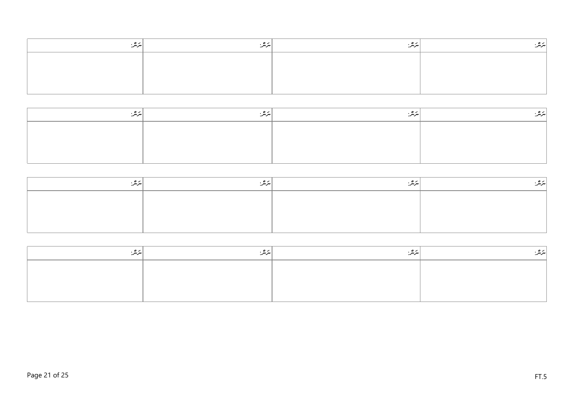| ير هو . | $\overline{\phantom{a}}$ | يرمر | اير هنه. |
|---------|--------------------------|------|----------|
|         |                          |      |          |
|         |                          |      |          |
|         |                          |      |          |

| ىر تىر: | $\circ$ $\sim$<br>" سرسر . | يبرحه | o . |
|---------|----------------------------|-------|-----|
|         |                            |       |     |
|         |                            |       |     |
|         |                            |       |     |

| 'تترنثر: | ر ه |  |
|----------|-----|--|
|          |     |  |
|          |     |  |
|          |     |  |

|  | . ه |
|--|-----|
|  |     |
|  |     |
|  |     |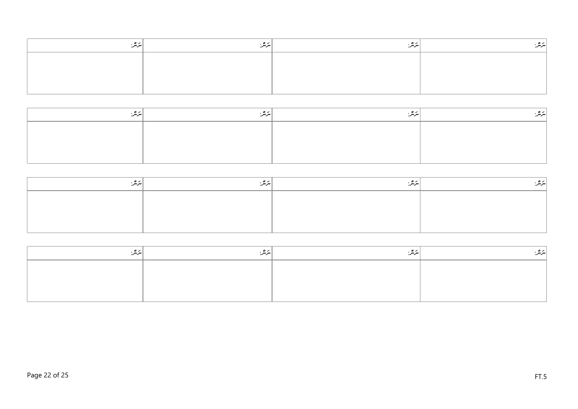| ير هو . | $\overline{\phantom{a}}$ | يرمر | اير هنه. |
|---------|--------------------------|------|----------|
|         |                          |      |          |
|         |                          |      |          |
|         |                          |      |          |

| ىر تىر: | $\circ$ $\sim$<br>" سرسر . | يبرحه | o . |
|---------|----------------------------|-------|-----|
|         |                            |       |     |
|         |                            |       |     |
|         |                            |       |     |

| 'تترنثر: | ر ه |  |
|----------|-----|--|
|          |     |  |
|          |     |  |
|          |     |  |

|  | . ه |
|--|-----|
|  |     |
|  |     |
|  |     |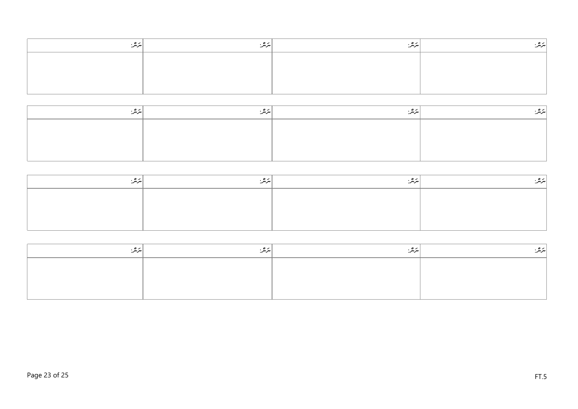| $\cdot$ | 。 | $\frac{\circ}{\cdot}$ | $\sim$<br>سرسر |
|---------|---|-----------------------|----------------|
|         |   |                       |                |
|         |   |                       |                |
|         |   |                       |                |

| يريثن | ' سرسر . |  |
|-------|----------|--|
|       |          |  |
|       |          |  |
|       |          |  |

| بره | $\overline{\phantom{a}}$ | $\sim$<br>َ سومس |  |
|-----|--------------------------|------------------|--|
|     |                          |                  |  |
|     |                          |                  |  |
|     |                          |                  |  |

| 。<br>. س | ىرىىر |  |
|----------|-------|--|
|          |       |  |
|          |       |  |
|          |       |  |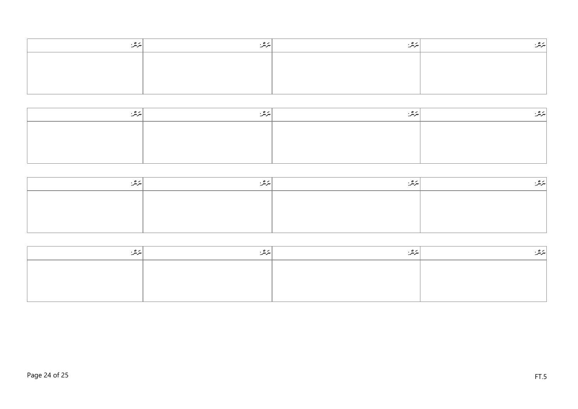| ير هو . | $\overline{\phantom{a}}$ | يرمر | اير هنه. |
|---------|--------------------------|------|----------|
|         |                          |      |          |
|         |                          |      |          |
|         |                          |      |          |

| ئىرتىر: | $\sim$<br>ا سرسر . | يئرمثر | o . |
|---------|--------------------|--------|-----|
|         |                    |        |     |
|         |                    |        |     |
|         |                    |        |     |

| الترنثر: | ' مرتكز: | الترنثر: | .,<br>سرس. |
|----------|----------|----------|------------|
|          |          |          |            |
|          |          |          |            |
|          |          |          |            |

|  | . ه |
|--|-----|
|  |     |
|  |     |
|  |     |